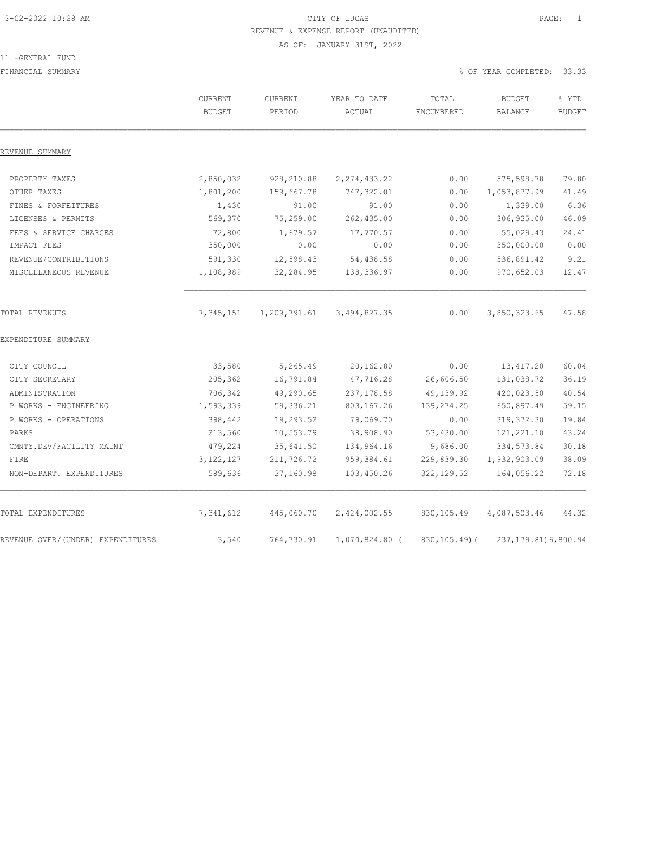### 3-02-2022 10:28 AM CITY OF LUCAS PAGE: 1 REVENUE & EXPENSE REPORT (UNAUDITED) AS OF: JANUARY 31ST, 2022

### 11 -GENERAL FUND

FINANCIAL SUMMARY % OF YEAR COMPLETED: 33.33

|                                   | CURRENT<br><b>BUDGET</b> | CURRENT<br>PERIOD | YEAR TO DATE<br>ACTUAL | TOTAL<br>ENCUMBERED | <b>BUDGET</b><br><b>BALANCE</b> | % YTD<br><b>BUDGET</b> |
|-----------------------------------|--------------------------|-------------------|------------------------|---------------------|---------------------------------|------------------------|
| REVENUE SUMMARY                   |                          |                   |                        |                     |                                 |                        |
| PROPERTY TAXES                    | 2,850,032                | 928,210.88        | 2, 274, 433.22         | 0.00                | 575,598.78                      | 79.80                  |
| OTHER TAXES                       | 1,801,200                | 159,667.78        | 747,322.01             | 0.00                | 1,053,877.99                    | 41.49                  |
| FINES & FORFEITURES               | 1,430                    | 91.00             | 91.00                  | 0.00                | 1,339.00                        | 6.36                   |
| LICENSES & PERMITS                | 569,370                  | 75,259.00         | 262,435.00             | 0.00                | 306,935.00                      | 46.09                  |
| FEES & SERVICE CHARGES            | 72,800                   | 1,679.57          | 17,770.57              | 0.00                | 55,029.43                       | 24.41                  |
| IMPACT FEES                       | 350,000                  | 0.00              | 0.00                   | 0.00                | 350,000.00                      | 0.00                   |
| REVENUE/CONTRIBUTIONS             | 591,330                  | 12,598.43         | 54,438.58              | 0.00                | 536,891.42                      | 9.21                   |
| MISCELLANEOUS REVENUE             | 1,108,989                | 32,284.95         | 138,336.97             | 0.00                | 970,652.03                      | 12.47                  |
| TOTAL REVENUES                    | 7,345,151                | 1,209,791.61      | 3,494,827.35           | 0.00                | 3,850,323.65                    | 47.58                  |
| EXPENDITURE SUMMARY               |                          |                   |                        |                     |                                 |                        |
| CITY COUNCIL                      | 33,580                   | 5,265.49          | 20,162.80              | 0.00                | 13, 417.20                      | 60.04                  |
| CITY SECRETARY                    | 205,362                  | 16,791.84         | 47,716.28              | 26,606.50           | 131,038.72                      | 36.19                  |
| ADMINISTRATION                    | 706,342                  | 49,290.65         | 237, 178.58            | 49,139.92           | 420,023.50                      | 40.54                  |
| P WORKS - ENGINEERING             | 1,593,339                | 59,336.21         | 803, 167.26            | 139, 274.25         | 650,897.49                      | 59.15                  |
| P WORKS - OPERATIONS              | 398,442                  | 19,293.52         | 79,069.70              | 0.00                | 319, 372.30                     | 19.84                  |
| PARKS                             | 213,560                  | 10,553.79         | 38,908.90              | 53,430.00           | 121, 221.10                     | 43.24                  |
| CMNTY.DEV/FACILITY MAINT          | 479,224                  | 35,641.50         | 134,964.16             | 9,686.00            | 334, 573.84                     | 30.18                  |
| FIRE                              | 3, 122, 127              | 211,726.72        | 959,384.61             | 229,839.30          | 1,932,903.09                    | 38.09                  |
| NON-DEPART. EXPENDITURES          | 589,636                  | 37,160.98         | 103,450.26             | 322, 129.52         | 164,056.22                      | 72.18                  |
| TOTAL EXPENDITURES                | 7,341,612                | 445,060.70        | 2,424,002.55           | 830,105.49          | 4,087,503.46                    | 44.32                  |
| REVENUE OVER/(UNDER) EXPENDITURES | 3,540                    | 764,730.91        | 1,070,824.80 (         | $830, 105.49$ (     | 237, 179.81) 6, 800.94          |                        |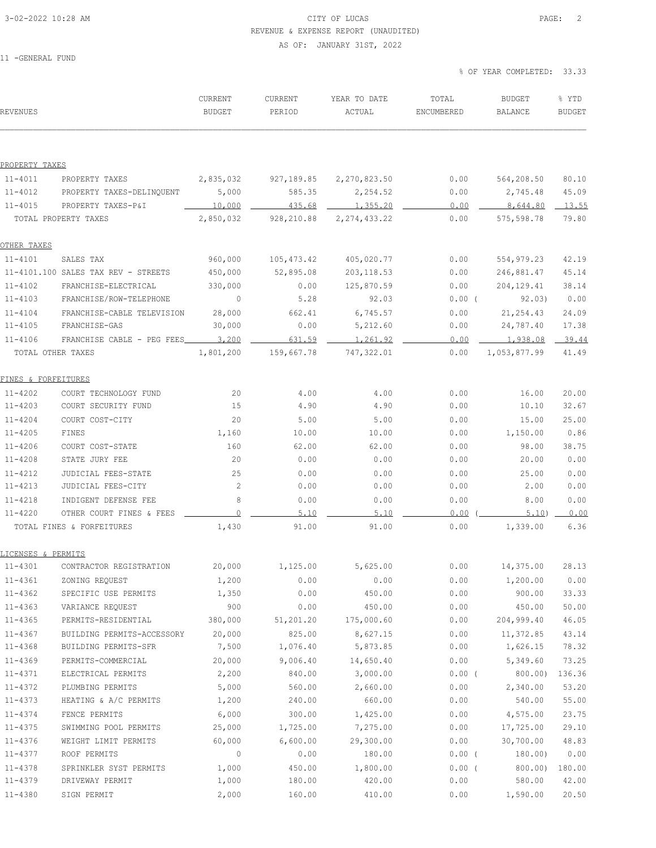### 3-02-2022 10:28 AM CITY OF LUCAS PAGE: 2 REVENUE & EXPENSE REPORT (UNAUDITED) AS OF: JANUARY 31ST, 2022

11 -GENERAL FUND

% OF YEAR COMPLETED: 33.33

| <b>REVENUES</b>                    |                                                  | CURRENT<br><b>BUDGET</b> | CURRENT<br>PERIOD | YEAR TO DATE<br>ACTUAL | TOTAL<br>ENCUMBERED | <b>BUDGET</b><br><b>BALANCE</b> | % YTD<br><b>BUDGET</b> |
|------------------------------------|--------------------------------------------------|--------------------------|-------------------|------------------------|---------------------|---------------------------------|------------------------|
|                                    |                                                  |                          |                   |                        |                     |                                 |                        |
| PROPERTY TAXES                     |                                                  |                          |                   |                        |                     |                                 |                        |
| $11 - 4011$                        | PROPERTY TAXES                                   | 2,835,032                | 927,189.85        | 2,270,823.50           | 0.00                | 564,208.50                      | 80.10                  |
| 11-4012                            | PROPERTY TAXES-DELINQUENT                        | 5,000                    | 585.35            | 2,254.52               | 0.00                | 2,745.48                        | 45.09                  |
| $11 - 4015$                        | PROPERTY TAXES-P&I                               | 10,000                   | 435.68            | 1,355.20               | 0.00                | 8,644.80                        | 13.55                  |
|                                    | TOTAL PROPERTY TAXES                             | 2,850,032                | 928, 210.88       | 2, 274, 433.22         | 0.00                | 575,598.78                      | 79.80                  |
| OTHER TAXES                        |                                                  |                          |                   |                        |                     |                                 |                        |
| $11 - 4101$                        | SALES TAX                                        | 960,000                  | 105, 473.42       | 405,020.77             | 0.00                | 554,979.23                      | 42.19                  |
|                                    | 11-4101.100 SALES TAX REV - STREETS              | 450,000                  | 52,895.08         | 203, 118.53            | 0.00                | 246,881.47                      | 45.14                  |
| $11 - 4102$                        | FRANCHISE-ELECTRICAL                             | 330,000                  | 0.00              | 125,870.59             | 0.00                | 204,129.41                      | 38.14                  |
| $11 - 4103$                        | FRANCHISE/ROW-TELEPHONE                          | $\mathbf{0}$             | 5.28              | 92.03                  | $0.00$ (            | 92.03)                          | 0.00                   |
| $11 - 4104$                        | FRANCHISE-CABLE TELEVISION                       | 28,000                   | 662.41            | 6,745.57               | 0.00                | 21,254.43                       | 24.09                  |
| $11 - 4105$                        | FRANCHISE-GAS                                    | 30,000                   | 0.00              | 5,212.60               | 0.00                | 24,787.40                       | 17.38                  |
| $11 - 4106$                        | FRANCHISE CABLE - PEG FEES                       | 3,200                    | 631.59            | 1,261.92               | 0.00                | $1,938.08$ 39.44                |                        |
| TOTAL OTHER TAXES                  |                                                  | 1,801,200                | 159,667.78        | 747,322.01             | 0.00                | 1,053,877.99                    | 41.49                  |
|                                    |                                                  |                          |                   |                        |                     |                                 |                        |
| FINES & FORFEITURES<br>$11 - 4202$ |                                                  |                          |                   |                        |                     |                                 |                        |
| $11 - 4203$                        | COURT TECHNOLOGY FUND<br>COURT SECURITY FUND     | 20<br>15                 | 4.00<br>4.90      | 4.00<br>4.90           | 0.00<br>0.00        | 16.00<br>10.10                  | 20.00<br>32.67         |
| $11 - 4204$                        | COURT COST-CITY                                  | 20                       | 5.00              |                        |                     | 15.00                           | 25.00                  |
| $11 - 4205$                        | FINES                                            | 1,160                    | 10.00             | 5.00<br>10.00          | 0.00<br>0.00        | 1,150.00                        | 0.86                   |
| $11 - 4206$                        | COURT COST-STATE                                 | 160                      | 62.00             |                        |                     | 98.00                           | 38.75                  |
| $11 - 4208$                        | STATE JURY FEE                                   | 20                       | 0.00              | 62.00<br>0.00          | 0.00<br>0.00        | 20.00                           | 0.00                   |
|                                    |                                                  |                          |                   |                        |                     |                                 |                        |
| $11 - 4212$<br>$11 - 4213$         | JUDICIAL FEES-STATE                              | 25<br>2                  | 0.00<br>0.00      | 0.00<br>0.00           | 0.00<br>0.00        | 25.00<br>2.00                   | 0.00<br>0.00           |
|                                    | JUDICIAL FEES-CITY                               | 8                        |                   |                        |                     |                                 |                        |
| $11 - 4218$<br>$11 - 4220$         | INDIGENT DEFENSE FEE<br>OTHER COURT FINES & FEES | $\mathbf{0}$             | 0.00<br>5.10      | 0.00<br>5.10           | 0.00<br>0.00        | 8.00<br>5.10)                   | 0.00<br>0.00           |
|                                    | TOTAL FINES & FORFEITURES                        | 1,430                    | 91.00             | 91.00                  | 0.00                | 1,339.00                        | 6.36                   |
|                                    |                                                  |                          |                   |                        |                     |                                 |                        |
| LICENSES & PERMITS                 |                                                  |                          |                   |                        |                     |                                 |                        |
| 11-4301                            | CONTRACTOR REGISTRATION                          | 20,000                   | 1,125.00          | 5,625.00               | 0.00                | 14,375.00                       | 28.13                  |
| $11 - 4361$                        | ZONING REQUEST                                   | 1,200                    | 0.00              | 0.00                   | 0.00                | 1,200.00                        | 0.00                   |
| $11 - 4362$                        | SPECIFIC USE PERMITS                             | 1,350                    | 0.00              | 450.00                 | 0.00                | 900.00                          | 33.33                  |
| $11 - 4363$                        | VARIANCE REQUEST                                 | 900                      | 0.00              | 450.00                 | 0.00                | 450.00                          | 50.00                  |
| $11 - 4365$                        | PERMITS-RESIDENTIAL                              | 380,000                  | 51,201.20         | 175,000.60             | 0.00                | 204,999.40                      | 46.05                  |
| $11 - 4367$                        | BUILDING PERMITS-ACCESSORY                       | 20,000                   | 825.00            | 8,627.15               | 0.00                | 11,372.85                       | 43.14                  |
| $11 - 4368$                        | BUILDING PERMITS-SFR                             | 7,500                    | 1,076.40          | 5,873.85               | 0.00                | 1,626.15                        | 78.32                  |
| 11-4369                            | PERMITS-COMMERCIAL                               | 20,000                   | 9,006.40          | 14,650.40              | 0.00                | 5,349.60                        | 73.25                  |
| 11-4371                            | ELECTRICAL PERMITS                               | 2,200                    | 840.00            | 3,000.00               | $0.00$ (            | 800.00                          | 136.36                 |
| 11-4372                            | PLUMBING PERMITS                                 | 5,000                    | 560.00            | 2,660.00               | 0.00                | 2,340.00                        | 53.20                  |
| 11-4373                            | HEATING & A/C PERMITS                            | 1,200                    | 240.00            | 660.00                 | 0.00                | 540.00                          | 55.00                  |
| 11-4374                            | FENCE PERMITS                                    | 6,000                    | 300.00            | 1,425.00               | 0.00                | 4,575.00                        | 23.75                  |
| $11 - 4375$                        | SWIMMING POOL PERMITS                            | 25,000                   | 1,725.00          | 7,275.00               | 0.00                | 17,725.00                       | 29.10                  |
| $11 - 4376$                        | WEIGHT LIMIT PERMITS                             | 60,000                   | 6,600.00          | 29,300.00              | 0.00                | 30,700.00                       | 48.83                  |
| 11-4377                            | ROOF PERMITS                                     | $\mathbb O$              | 0.00              | 180.00                 | $0.00$ (            | 180.00)                         | 0.00                   |
| 11-4378                            | SPRINKLER SYST PERMITS                           | 1,000                    | 450.00            | 1,800.00               | $0.00$ (            | 800.00)                         | 180.00                 |
| 11-4379                            | DRIVEWAY PERMIT                                  | 1,000                    | 180.00            | 420.00                 | 0.00                | 580.00                          | 42.00                  |
| 11-4380                            | SIGN PERMIT                                      | 2,000                    | 160.00            | 410.00                 | 0.00                | 1,590.00                        | 20.50                  |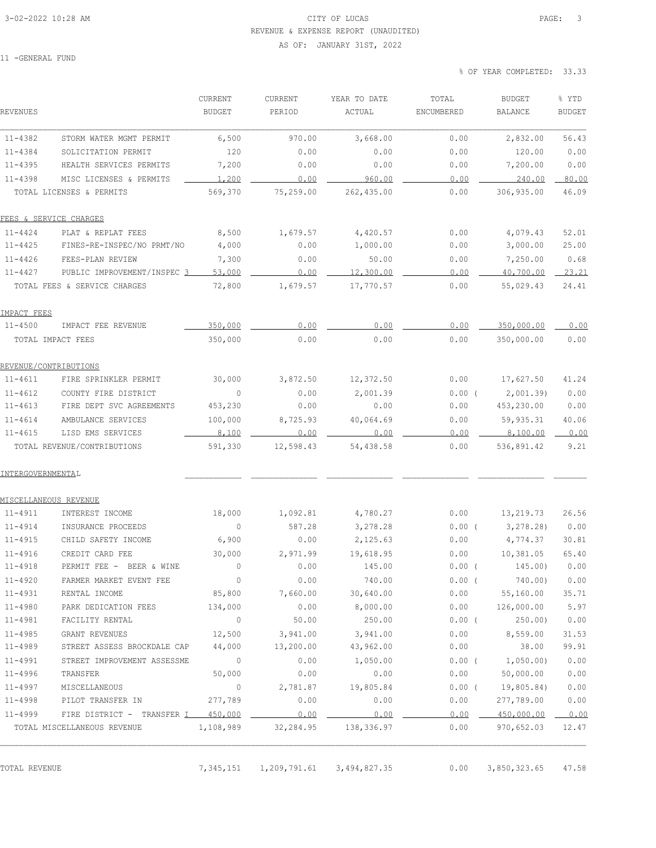### 3-02-2022 10:28 AM CITY OF LUCAS PAGE: 3 REVENUE & EXPENSE REPORT (UNAUDITED) AS OF: JANUARY 31ST, 2022

11 -GENERAL FUND

% OF YEAR COMPLETED: 33.33

| REVENUES                                      | CURRENT<br><b>BUDGET</b> | CURRENT<br>PERIOD | YEAR TO DATE<br>ACTUAL | TOTAL<br>ENCUMBERED | <b>BUDGET</b><br><b>BALANCE</b> | % YTD<br><b>BUDGET</b> |
|-----------------------------------------------|--------------------------|-------------------|------------------------|---------------------|---------------------------------|------------------------|
| $11 - 4382$<br>STORM WATER MGMT PERMIT        | 6,500                    | 970.00            | 3,668.00               | 0.00                | 2,832.00                        | 56.43                  |
| $11 - 4384$<br>SOLICITATION PERMIT            | 120                      | 0.00              | 0.00                   | 0.00                | 120.00                          | 0.00                   |
| $11 - 4395$<br>HEALTH SERVICES PERMITS        | 7,200                    | 0.00              | 0.00                   | 0.00                | 7,200.00                        | 0.00                   |
| $11 - 4398$<br>MISC LICENSES & PERMITS        | 1,200                    | 0.00              | 960.00                 | 0.00                | 240.00                          | 80.00                  |
| TOTAL LICENSES & PERMITS                      | 569,370                  | 75,259.00         | 262, 435.00            | 0.00                | 306,935.00                      | 46.09                  |
| FEES & SERVICE CHARGES                        |                          |                   |                        |                     |                                 |                        |
| 11-4424<br>PLAT & REPLAT FEES                 | 8,500                    | 1,679.57          | 4,420.57               | 0.00                | 4,079.43                        | 52.01                  |
| $11 - 4425$<br>FINES-RE-INSPEC/NO PRMT/NO     | 4,000                    | 0.00              | 1,000.00               | 0.00                | 3,000.00                        | 25.00                  |
| $11 - 4426$<br>FEES-PLAN REVIEW               | 7,300                    | 0.00              | 50.00                  | 0.00                | 7,250.00                        | 0.68                   |
| 11-4427<br>PUBLIC IMPROVEMENT/INSPEC 3        | 53,000                   | 0.00              | 12,300.00              | 0.00                | 40,700.00                       | 23.21                  |
| TOTAL FEES & SERVICE CHARGES                  | 72,800                   | 1,679.57          | 17,770.57              | 0.00                | 55,029.43                       | 24.41                  |
| IMPACT FEES                                   |                          |                   |                        |                     |                                 |                        |
| $11 - 4500$<br>IMPACT FEE REVENUE             | 350,000                  | 0.00              | 0.00                   | 0.00                | 350,000.00                      | 0.00                   |
| TOTAL IMPACT FEES                             | 350,000                  | 0.00              | 0.00                   | 0.00                | 350,000.00                      | 0.00                   |
| <u>REVENUE/CONTRIBUTIONS</u>                  |                          |                   |                        |                     |                                 |                        |
| $11 - 4611$<br>FIRE SPRINKLER PERMIT          | 30,000                   | 3,872.50          | 12,372.50              | 0.00                | 17,627.50                       | 41.24                  |
| $11 - 4612$<br>COUNTY FIRE DISTRICT           | $\circ$                  | 0.00              | 2,001.39               | $0.00$ (            | 2,001.39)                       | 0.00                   |
| $11 - 4613$<br>FIRE DEPT SVC AGREEMENTS       | 453,230                  | 0.00              | 0.00                   | 0.00                | 453,230.00                      | 0.00                   |
| $11 - 4614$<br>AMBULANCE SERVICES             | 100,000                  | 8,725.93          | 40,064.69              | 0.00                | 59,935.31                       | 40.06                  |
| $11 - 4615$<br>LISD EMS SERVICES              | 8,100                    | 0.00              | 0.00                   | 0.00                | 8,100.00                        | 0.00                   |
| TOTAL REVENUE/CONTRIBUTIONS                   | 591,330                  | 12,598.43         | 54,438.58              | 0.00                | 536,891.42                      | 9.21                   |
| INTERGOVERNMENTAL                             |                          |                   |                        |                     |                                 |                        |
| MISCELLANEOUS REVENUE                         |                          |                   |                        |                     |                                 |                        |
| 11-4911<br>INTEREST INCOME                    | 18,000                   | 1,092.81          | 4,780.27               | 0.00                | 13,219.73                       | 26.56                  |
| 11-4914<br>INSURANCE PROCEEDS                 | $\mathbb O$              | 587.28            | 3,278.28               | 0.00(               | 3,278.28)                       | 0.00                   |
| 11-4915<br>CHILD SAFETY INCOME                | 6,900                    | 0.00              | 2,125.63               | 0.00                | 4,774.37                        | 30.81                  |
| $11 - 4916$<br>CREDIT CARD FEE                | 30,000                   | 2,971.99          | 19,618.95              | 0.00                | 10,381.05                       | 65.40                  |
| $11 - 4918$<br>PERMIT FEE - BEER & WINE       |                          | 0.00              | 145.00                 | $0.00$ (            | 145.00)                         | 0.00                   |
| $11 - 4920$<br>FARMER MARKET EVENT FEE        | 0                        | 0.00              | 740.00                 | $0.00$ (            | 740.00)                         | 0.00                   |
| $11 - 4931$<br>RENTAL INCOME                  | 85,800                   | 7,660.00          | 30,640.00              |                     | $0.00$ $55,160.00$              | 35.71                  |
| 11-4980<br>PARK DEDICATION FEES               | 134,000                  | 0.00              | 8,000.00               | 0.00                | 126,000.00                      | 5.97                   |
| $11 - 4981$<br>FACILITY RENTAL                | $\circ$                  | 50.00             | 250.00                 |                     | $0.00$ ( 250.00)                | 0.00                   |
| $11 - 4985$<br>GRANT REVENUES                 | 12,500                   | 3,941.00          | 3,941.00               | 0.00                | 8,559.00                        | 31.53                  |
| 11-4989<br>STREET ASSESS BROCKDALE CAP 44,000 |                          | 13,200.00         | 43,962.00              | 0.00                | 38.00                           | 99.91                  |
| $11 - 4991$<br>STREET IMPROVEMENT ASSESSME    | $\sim$ 0                 | 0.00              | 1,050.00               | $0.00$ (            | 1,050.00)                       | 0.00                   |
| $11 - 4996$<br>TRANSFER                       | 50,000                   | 0.00              | 0.00                   | 0.00                | 50,000.00                       | 0.00                   |
| $11 - 4997$<br>MISCELLANEOUS                  | $\circ$                  | 2,781.87          | 19,805.84              | $0.00$ (            | 19,805.84)                      | 0.00                   |
| 11-4998<br>PILOT TRANSFER IN                  | 277,789                  | 0.00              | 0.00                   | 0.00                | 277,789.00                      | 0.00                   |
| FIRE DISTRICT - TRANSFER I 450,000<br>11-4999 |                          | 0.00              | 0.00                   | 0.00                | 450,000.00                      | 0.00                   |
| TOTAL MISCELLANEOUS REVENUE                   | 1,108,989                | 32,284.95         | 138,336.97             | 0.00                | 970,652.03                      | 12.47                  |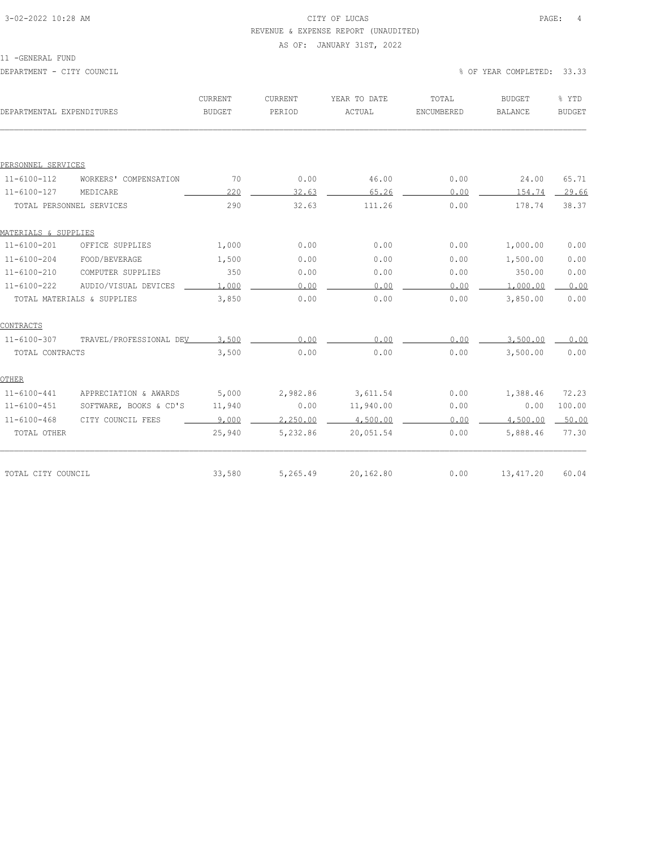# 3-02-2022 10:28 AM CITY OF LUCAS PAGE: 4 REVENUE & EXPENSE REPORT (UNAUDITED)

#### AS OF: JANUARY 31ST, 2022

11 -GENERAL FUND

| DEPARTMENTAL EXPENDITURES |                            | CURRENT<br><b>BUDGET</b> | CURRENT<br>PERIOD | YEAR TO DATE<br>ACTUAL | TOTAL<br>ENCUMBERED | <b>BUDGET</b><br><b>BALANCE</b> | % YTD<br><b>BUDGET</b> |
|---------------------------|----------------------------|--------------------------|-------------------|------------------------|---------------------|---------------------------------|------------------------|
|                           |                            |                          |                   |                        |                     |                                 |                        |
| PERSONNEL SERVICES        |                            |                          |                   |                        |                     |                                 |                        |
| $11 - 6100 - 112$         | WORKERS' COMPENSATION      | 70                       | 0.00              | 46.00                  | 0.00                | 24.00                           | 65.71                  |
| $11 - 6100 - 127$         | MEDICARE                   | 220                      | 32.63             | 65.26                  | 0.00                | 154.74                          | 29.66                  |
| TOTAL PERSONNEL SERVICES  |                            | 290                      | 32.63             | 111.26                 | 0.00                | 178.74                          | 38.37                  |
| MATERIALS & SUPPLIES      |                            |                          |                   |                        |                     |                                 |                        |
| $11 - 6100 - 201$         | OFFICE SUPPLIES            | 1,000                    | 0.00              | 0.00                   | 0.00                | 1,000.00                        | 0.00                   |
| $11 - 6100 - 204$         | FOOD/BEVERAGE              | 1,500                    | 0.00              | 0.00                   | 0.00                | 1,500.00                        | 0.00                   |
| $11 - 6100 - 210$         | COMPUTER SUPPLIES          | 350                      | 0.00              | 0.00                   | 0.00                | 350.00                          | 0.00                   |
| $11 - 6100 - 222$         | AUDIO/VISUAL DEVICES       | 1,000                    | 0.00              | 0.00                   | 0.00                | 1,000.00                        | 0.00                   |
|                           | TOTAL MATERIALS & SUPPLIES | 3,850                    | 0.00              | 0.00                   | 0.00                | 3,850.00                        | 0.00                   |
| CONTRACTS                 |                            |                          |                   |                        |                     |                                 |                        |
| $11 - 6100 - 307$         | TRAVEL/PROFESSIONAL DEV    | 3,500                    | 0.00              | 0.00                   | 0.00                | 3,500.00                        | 0.00                   |
| TOTAL CONTRACTS           |                            | 3,500                    | 0.00              | 0.00                   | 0.00                | 3,500.00                        | 0.00                   |
| OTHER                     |                            |                          |                   |                        |                     |                                 |                        |
| $11 - 6100 - 441$         | APPRECIATION & AWARDS      | 5,000                    | 2,982.86          | 3,611.54               | 0.00                | 1,388.46                        | 72.23                  |
| $11 - 6100 - 451$         | SOFTWARE, BOOKS & CD'S     | 11,940                   | 0.00              | 11,940.00              | 0.00                | 0.00                            | 100.00                 |
| $11 - 6100 - 468$         | CITY COUNCIL FEES          | 9,000                    | 2,250.00          | 4,500.00               | 0.00                | 4,500.00                        | 50.00                  |
| TOTAL OTHER               |                            | 25,940                   | 5,232.86          | 20,051.54              | 0.00                | 5,888.46                        | 77.30                  |
|                           |                            |                          |                   |                        |                     |                                 |                        |
| TOTAL CITY COUNCIL        |                            | 33,580                   | 5,265.49          | 20,162.80              | 0.00                | 13, 417.20                      | 60.04                  |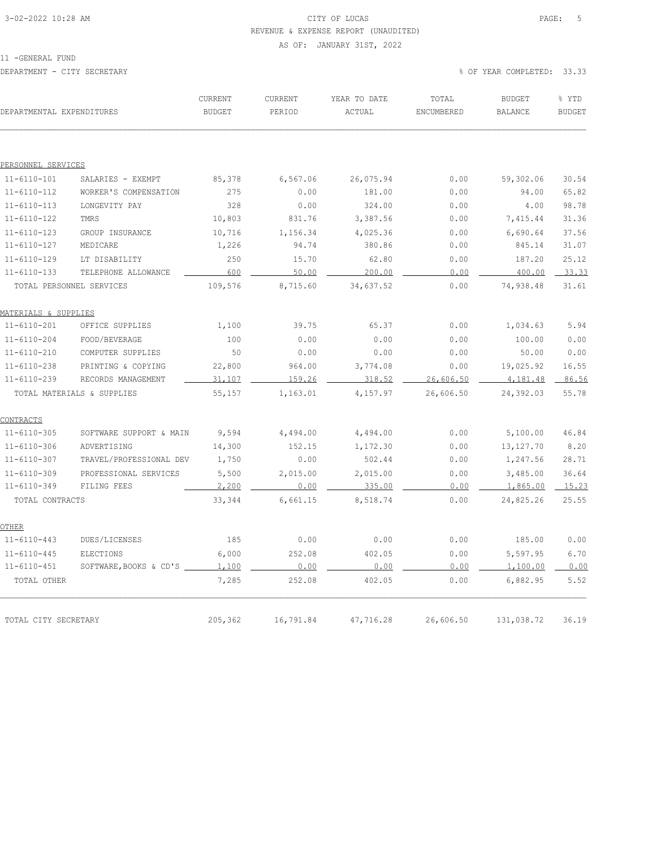# 3-02-2022 10:28 AM CITY OF LUCAS PAGE: 5 REVENUE & EXPENSE REPORT (UNAUDITED)

#### AS OF: JANUARY 31ST, 2022

11 -GENERAL FUND

| DEPARTMENTAL EXPENDITURES |                            | CURRENT<br><b>BUDGET</b> | CURRENT<br>PERIOD | YEAR TO DATE<br>ACTUAL | TOTAL<br>ENCUMBERED | <b>BUDGET</b><br>BALANCE | % YTD<br><b>BUDGET</b> |
|---------------------------|----------------------------|--------------------------|-------------------|------------------------|---------------------|--------------------------|------------------------|
|                           |                            |                          |                   |                        |                     |                          |                        |
| PERSONNEL SERVICES        |                            |                          |                   |                        |                     |                          |                        |
| $11 - 6110 - 101$         | SALARIES - EXEMPT          | 85,378                   | 6,567.06          | 26,075.94              | 0.00                | 59,302.06                | 30.54                  |
| $11 - 6110 - 112$         | WORKER'S COMPENSATION      | 275                      | 0.00              | 181.00                 | 0.00                | 94.00                    | 65.82                  |
| $11 - 6110 - 113$         | LONGEVITY PAY              | 328                      | 0.00              | 324.00                 | 0.00                | 4.00                     | 98.78                  |
| $11 - 6110 - 122$         | TMRS                       | 10,803                   | 831.76            | 3,387.56               | 0.00                | 7,415.44                 | 31.36                  |
| $11 - 6110 - 123$         | GROUP INSURANCE            | 10,716                   | 1,156.34          | 4,025.36               | 0.00                | 6,690.64                 | 37.56                  |
| $11 - 6110 - 127$         | MEDICARE                   | 1,226                    | 94.74             | 380.86                 | 0.00                | 845.14                   | 31.07                  |
| $11 - 6110 - 129$         | LT DISABILITY              | 250                      | 15.70             | 62.80                  | 0.00                | 187.20                   | 25.12                  |
| $11 - 6110 - 133$         | TELEPHONE ALLOWANCE        | 600                      | 50.00             | 200.00                 | 0.00                | 400.00                   | 33.33                  |
|                           | TOTAL PERSONNEL SERVICES   | 109,576                  | 8,715.60          | 34,637.52              | 0.00                | 74,938.48                | 31.61                  |
| MATERIALS & SUPPLIES      |                            |                          |                   |                        |                     |                          |                        |
| $11 - 6110 - 201$         | OFFICE SUPPLIES            | 1,100                    | 39.75             | 65.37                  | 0.00                | 1,034.63                 | 5.94                   |
| $11 - 6110 - 204$         | FOOD/BEVERAGE              | 100                      | 0.00              | 0.00                   | 0.00                | 100.00                   | 0.00                   |
| $11 - 6110 - 210$         | COMPUTER SUPPLIES          | 50                       | 0.00              | 0.00                   | 0.00                | 50.00                    | 0.00                   |
| $11 - 6110 - 238$         | PRINTING & COPYING         | 22,800                   | 964.00            | 3,774.08               | 0.00                | 19,025.92                | 16.55                  |
| $11 - 6110 - 239$         | RECORDS MANAGEMENT         | 31,107                   | 159.26            | 318.52                 | 26,606.50           | 4,181.48                 | 86.56                  |
|                           | TOTAL MATERIALS & SUPPLIES | 55,157                   | 1,163.01          | 4,157.97               | 26,606.50           | 24,392.03                | 55.78                  |
| <b>CONTRACTS</b>          |                            |                          |                   |                        |                     |                          |                        |
| $11 - 6110 - 305$         | SOFTWARE SUPPORT & MAIN    | 9,594                    | 4,494.00          | 4,494.00               | 0.00                | 5,100.00                 | 46.84                  |
| $11 - 6110 - 306$         | ADVERTISING                | 14,300                   | 152.15            | 1,172.30               | 0.00                | 13, 127. 70              | 8.20                   |
| $11 - 6110 - 307$         | TRAVEL/PROFESSIONAL DEV    | 1,750                    | 0.00              | 502.44                 | 0.00                | 1,247.56                 | 28.71                  |
| $11 - 6110 - 309$         | PROFESSIONAL SERVICES      | 5,500                    | 2,015.00          | 2,015.00               | 0.00                | 3,485.00                 | 36.64                  |
| $11 - 6110 - 349$         | FILING FEES                | 2,200                    | 0.00              | 335.00                 | 0.00                | 1,865.00                 | 15.23                  |
| TOTAL CONTRACTS           |                            | 33,344                   | 6,661.15          | 8,518.74               | 0.00                | 24,825.26                | 25.55                  |
| OTHER                     |                            |                          |                   |                        |                     |                          |                        |
| $11 - 6110 - 443$         | DUES/LICENSES              | 185                      | 0.00              | 0.00                   | 0.00                | 185.00                   | 0.00                   |
| $11 - 6110 - 445$         | ELECTIONS                  | 6,000                    | 252.08            | 402.05                 | 0.00                | 5,597.95                 | 6.70                   |
| $11 - 6110 - 451$         | SOFTWARE, BOOKS & CD'S     | 1,100                    | 0.00              | 0.00                   | 0.00                | 1,100.00                 | 0.00                   |
| TOTAL OTHER               |                            | 7,285                    | 252.08            | 402.05                 | 0.00                | 6,882.95                 | 5.52                   |
|                           |                            |                          |                   |                        |                     |                          |                        |
| TOTAL CITY SECRETARY      |                            | 205,362                  | 16,791.84         | 47,716.28              | 26,606.50           | 131,038.72               | 36.19                  |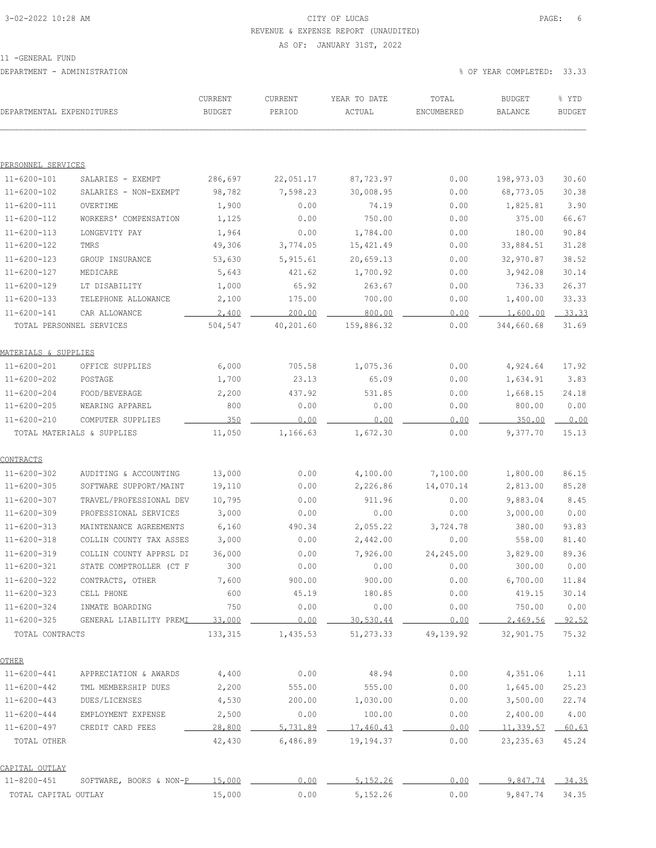# 3-02-2022 10:28 AM CITY OF LUCAS PAGE: 6 REVENUE & EXPENSE REPORT (UNAUDITED)

#### AS OF: JANUARY 31ST, 2022

11 -GENERAL FUND

| DEPARTMENTAL EXPENDITURES |                                | CURRENT<br><b>BUDGET</b> | CURRENT<br>PERIOD | YEAR TO DATE<br>ACTUAL | TOTAL<br>ENCUMBERED | <b>BUDGET</b><br><b>BALANCE</b> | % YTD<br><b>BUDGET</b> |
|---------------------------|--------------------------------|--------------------------|-------------------|------------------------|---------------------|---------------------------------|------------------------|
|                           |                                |                          |                   |                        |                     |                                 |                        |
| PERSONNEL SERVICES        |                                |                          |                   |                        |                     |                                 |                        |
| $11 - 6200 - 101$         | SALARIES - EXEMPT              | 286,697                  | 22,051.17         | 87,723.97              | 0.00                | 198,973.03                      | 30.60                  |
| 11-6200-102               | SALARIES - NON-EXEMPT          | 98,782                   | 7,598.23          | 30,008.95              | 0.00                | 68,773.05                       | 30.38                  |
| $11 - 6200 - 111$         | OVERTIME                       | 1,900                    | 0.00              | 74.19                  | 0.00                | 1,825.81                        | 3.90                   |
| $11 - 6200 - 112$         | WORKERS' COMPENSATION          | 1,125                    | 0.00              | 750.00                 | 0.00                | 375.00                          | 66.67                  |
| $11 - 6200 - 113$         | LONGEVITY PAY                  | 1,964                    | 0.00              | 1,784.00               | 0.00                | 180.00                          | 90.84                  |
| $11 - 6200 - 122$         | TMRS                           | 49,306                   | 3,774.05          | 15, 421.49             | 0.00                | 33,884.51                       | 31.28                  |
| $11 - 6200 - 123$         | GROUP INSURANCE                | 53,630                   | 5, 915.61         | 20,659.13              | 0.00                | 32,970.87                       | 38.52                  |
| 11-6200-127               | MEDICARE                       | 5,643                    | 421.62            | 1,700.92               | 0.00                | 3,942.08                        | 30.14                  |
| 11-6200-129               | LT DISABILITY                  | 1,000                    | 65.92             | 263.67                 | 0.00                | 736.33                          | 26.37                  |
| $11 - 6200 - 133$         | TELEPHONE ALLOWANCE            | 2,100                    | 175.00            | 700.00                 | 0.00                | 1,400.00                        | 33.33                  |
| $11 - 6200 - 141$         | CAR ALLOWANCE                  | 2,400                    | 200.00            | 800.00                 | 0.00                | 1,600.00                        | 33.33                  |
|                           | TOTAL PERSONNEL SERVICES       | 504,547                  | 40,201.60         | 159,886.32             | 0.00                | 344,660.68                      | 31.69                  |
| MATERIALS & SUPPLIES      |                                |                          |                   |                        |                     |                                 |                        |
| $11 - 6200 - 201$         | OFFICE SUPPLIES                | 6,000                    | 705.58            | 1,075.36               | 0.00                | 4,924.64                        | 17.92                  |
| $11 - 6200 - 202$         | POSTAGE                        | 1,700                    | 23.13             | 65.09                  | 0.00                | 1,634.91                        | 3.83                   |
| $11 - 6200 - 204$         | FOOD/BEVERAGE                  | 2,200                    | 437.92            | 531.85                 | 0.00                | 1,668.15                        | 24.18                  |
| 11-6200-205               | WEARING APPAREL                | 800                      | 0.00              | 0.00                   | 0.00                | 800.00                          | 0.00                   |
| $11 - 6200 - 210$         | COMPUTER SUPPLIES              | 350                      | 0.00              | 0.00                   | 0.00                | 350.00                          | 0.00                   |
|                           | TOTAL MATERIALS & SUPPLIES     | 11,050                   | 1,166.63          | 1,672.30               | 0.00                | 9,377.70                        | 15.13                  |
| CONTRACTS                 |                                |                          |                   |                        |                     |                                 |                        |
| $11 - 6200 - 302$         | AUDITING & ACCOUNTING          | 13,000                   | 0.00              | 4,100.00               | 7,100.00            | 1,800.00                        | 86.15                  |
| 11-6200-305               | SOFTWARE SUPPORT/MAINT         | 19,110                   | 0.00              | 2,226.86               | 14,070.14           | 2,813.00                        | 85.28                  |
| 11-6200-307               | TRAVEL/PROFESSIONAL DEV        | 10,795                   | 0.00              | 911.96                 | 0.00                | 9,883.04                        | 8.45                   |
| $11 - 6200 - 309$         | PROFESSIONAL SERVICES          | 3,000                    | 0.00              | 0.00                   | 0.00                | 3,000.00                        | 0.00                   |
| 11-6200-313               | MAINTENANCE AGREEMENTS         | 6,160                    | 490.34            | 2,055.22               | 3,724.78            | 380.00                          | 93.83                  |
| 11-6200-318               | COLLIN COUNTY TAX ASSES        | 3,000                    | 0.00              | 2,442.00               | 0.00                | 558.00                          | 81.40                  |
| $11 - 6200 - 319$         | COLLIN COUNTY APPRSL DI        | 36,000                   | 0.00              | 7,926.00               | 24,245.00           | 3,829.00                        | 89.36                  |
| $11 - 6200 - 321$         | STATE COMPTROLLER (CT F        | 300                      | 0.00              | 0.00                   | 0.00                | 300.00                          | 0.00                   |
| $11 - 6200 - 322$         | CONTRACTS, OTHER               | 7,600                    | 900.00            | 900.00                 | 0.00                | 6,700.00                        | 11.84                  |
| $11 - 6200 - 323$         | CELL PHONE                     | 600                      | 45.19             | 180.85                 | 0.00                | 419.15                          | 30.14                  |
| $11 - 6200 - 324$         | INMATE BOARDING                | 750                      | 0.00              | 0.00                   | 0.00                | 750.00                          | 0.00                   |
| $11 - 6200 - 325$         | GENERAL LIABILITY PREMI        | 33,000                   | 0.00              | 30,530.44              | 0.00                | 2,469.56                        | 92.52                  |
| TOTAL CONTRACTS           |                                | 133,315                  | 1,435.53          | 51, 273.33             | 49,139.92           | 32,901.75                       | 75.32                  |
| <b>OTHER</b>              |                                |                          |                   |                        |                     |                                 |                        |
| $11 - 6200 - 441$         | APPRECIATION & AWARDS          | 4,400                    | 0.00              | 48.94                  | 0.00                | 4,351.06                        | 1.11                   |
| $11 - 6200 - 442$         | TML MEMBERSHIP DUES            | 2,200                    | 555.00            | 555.00                 | 0.00                | 1,645.00                        | 25.23                  |
| 11-6200-443               | DUES/LICENSES                  | 4,530                    | 200.00            | 1,030.00               | 0.00                | 3,500.00                        | 22.74                  |
| $11 - 6200 - 444$         | EMPLOYMENT EXPENSE             | 2,500                    | 0.00              | 100.00                 | 0.00                | 2,400.00                        | 4.00                   |
| 11-6200-497               | CREDIT CARD FEES               | 28,800                   | 5,731.89          | 17,460.43              | 0.00                | 11,339.57                       | 60.63                  |
| TOTAL OTHER               |                                | 42,430                   | 6,486.89          | 19,194.37              | 0.00                | 23, 235.63                      | 45.24                  |
| CAPITAL OUTLAY            |                                |                          |                   |                        |                     |                                 |                        |
| $11 - 8200 - 451$         | SOFTWARE, BOOKS & NON-P 15,000 |                          | 0.00              | 5,152.26               | 0.00                | 9,847.74                        | 34.35                  |
| TOTAL CAPITAL OUTLAY      |                                | 15,000                   | 0.00              | 5,152.26               | 0.00                | 9,847.74                        | 34.35                  |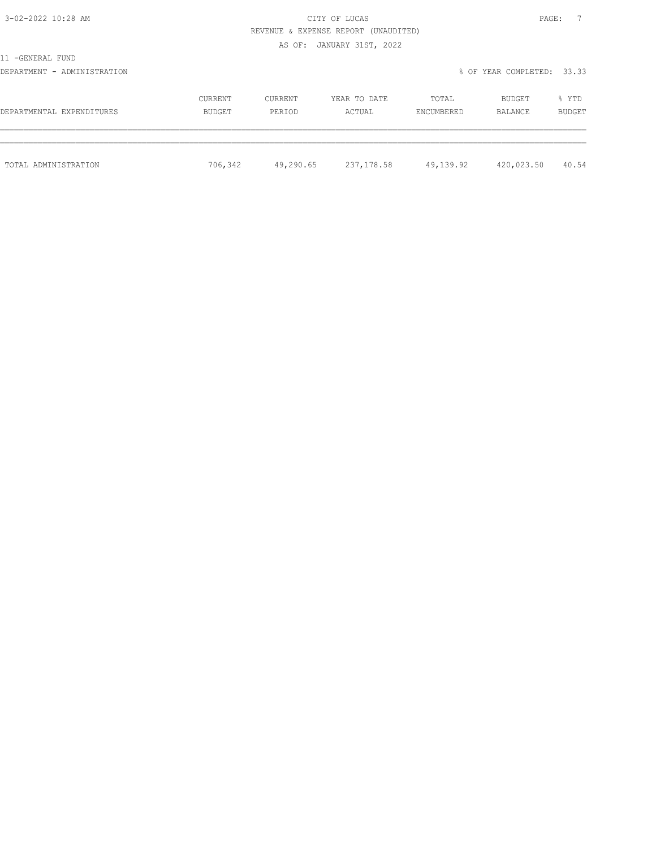# 3-02-2022 10:28 AM CITY OF LUCAS PAGE: 7 REVENUE & EXPENSE REPORT (UNAUDITED)

#### AS OF: JANUARY 31ST, 2022

11 -GENERAL FUND

### DEPARTMENT - ADMINISTRATION % OF YEAR COMPLETED: 33.33

| DEPARTMENTAL EXPENDITURES | CURRENT | CURRENT   | YEAR TO DATE | TOTAL      | BUDGET     | % YTD  |
|---------------------------|---------|-----------|--------------|------------|------------|--------|
|                           | BUDGET  | PERIOD    | ACTUAL       | ENCUMBERED | BALANCE    | BUDGET |
| TOTAL ADMINISTRATION      | 706,342 | 49,290.65 | 237,178.58   | 49,139.92  | 420,023.50 | 40.54  |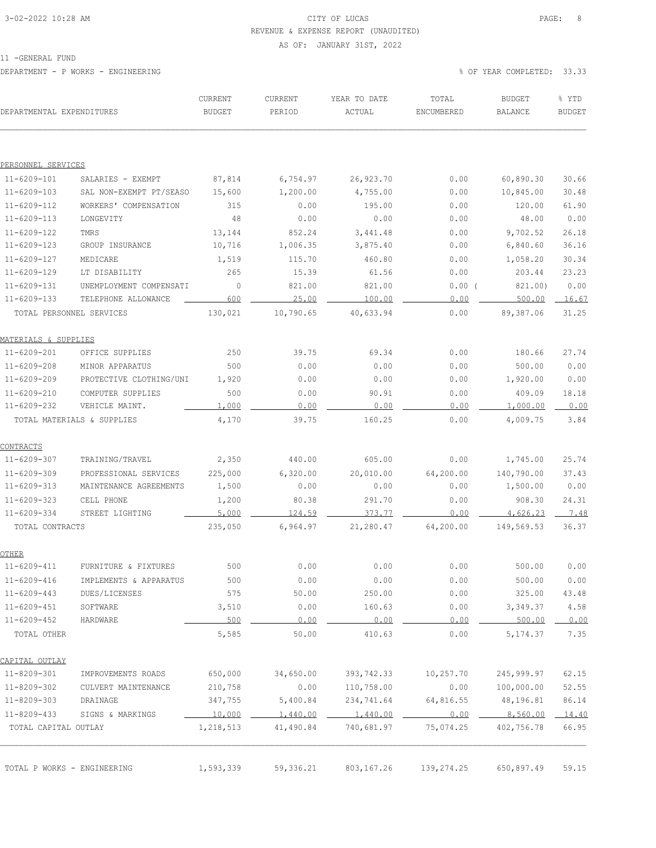# 3-02-2022 10:28 AM CITY OF LUCAS PAGE: 8 REVENUE & EXPENSE REPORT (UNAUDITED)

#### AS OF: JANUARY 31ST, 2022

11 -GENERAL FUND

DEPARTMENT - P WORKS - ENGINEERING % OF YEAR COMPLETED: 33.33

| DEPARTMENTAL EXPENDITURES   |                            | CURRENT<br><b>BUDGET</b> | CURRENT<br>PERIOD | YEAR TO DATE<br>ACTUAL | TOTAL<br>ENCUMBERED | <b>BUDGET</b><br>BALANCE | % YTD<br><b>BUDGET</b> |
|-----------------------------|----------------------------|--------------------------|-------------------|------------------------|---------------------|--------------------------|------------------------|
|                             |                            |                          |                   |                        |                     |                          |                        |
| PERSONNEL SERVICES          |                            |                          |                   |                        |                     |                          |                        |
| $11 - 6209 - 101$           | SALARIES - EXEMPT          | 87,814                   | 6,754.97          | 26,923.70              | 0.00                | 60,890.30                | 30.66                  |
| $11 - 6209 - 103$           | SAL NON-EXEMPT PT/SEASO    | 15,600                   | 1,200.00          | 4,755.00               | 0.00                | 10,845.00                | 30.48                  |
| $11 - 6209 - 112$           | WORKERS' COMPENSATION      | 315                      | 0.00              | 195.00                 | 0.00                | 120.00                   | 61.90                  |
| $11 - 6209 - 113$           | LONGEVITY                  | 48                       | 0.00              | 0.00                   | 0.00                | 48.00                    | 0.00                   |
| $11 - 6209 - 122$           | TMRS                       | 13,144                   | 852.24            | 3, 441.48              | 0.00                | 9,702.52                 | 26.18                  |
| $11 - 6209 - 123$           | GROUP INSURANCE            | 10,716                   | 1,006.35          | 3,875.40               | 0.00                | 6,840.60                 | 36.16                  |
| $11 - 6209 - 127$           | MEDICARE                   | 1,519                    | 115.70            | 460.80                 | 0.00                | 1,058.20                 | 30.34                  |
| 11-6209-129                 | LT DISABILITY              | 265                      | 15.39             | 61.56                  | 0.00                | 203.44                   | 23.23                  |
| $11 - 6209 - 131$           | UNEMPLOYMENT COMPENSATI    | 0                        | 821.00            | 821.00                 | 0.00(               | 821.00)                  | 0.00                   |
| $11 - 6209 - 133$           | TELEPHONE ALLOWANCE        | 600                      | 25.00             | 100.00                 | 0.00                | 500.00                   | 16.67                  |
| TOTAL PERSONNEL SERVICES    |                            | 130,021                  | 10,790.65         | 40,633.94              | 0.00                | 89,387.06                | 31.25                  |
| MATERIALS & SUPPLIES        |                            |                          |                   |                        |                     |                          |                        |
| $11 - 6209 - 201$           | OFFICE SUPPLIES            | 250                      | 39.75             | 69.34                  | 0.00                | 180.66                   | 27.74                  |
| $11 - 6209 - 208$           | MINOR APPARATUS            | 500                      | 0.00              | 0.00                   | 0.00                | 500.00                   | 0.00                   |
| $11 - 6209 - 209$           | PROTECTIVE CLOTHING/UNI    | 1,920                    | 0.00              | 0.00                   | 0.00                | 1,920.00                 | 0.00                   |
| $11 - 6209 - 210$           | COMPUTER SUPPLIES          | 500                      | 0.00              | 90.91                  | 0.00                | 409.09                   | 18.18                  |
| $11 - 6209 - 232$           | VEHICLE MAINT.             | 1,000                    | 0.00              | 0.00                   | 0.00                | 1,000.00                 | 0.00                   |
|                             | TOTAL MATERIALS & SUPPLIES | 4,170                    | 39.75             | 160.25                 | 0.00                | 4,009.75                 | 3.84                   |
| CONTRACTS                   |                            |                          |                   |                        |                     |                          |                        |
| $11 - 6209 - 307$           | TRAINING/TRAVEL            | 2,350                    | 440.00            | 605.00                 | 0.00                | 1,745.00                 | 25.74                  |
| $11 - 6209 - 309$           | PROFESSIONAL SERVICES      | 225,000                  | 6,320.00          | 20,010.00              | 64,200.00           | 140,790.00               | 37.43                  |
| $11 - 6209 - 313$           | MAINTENANCE AGREEMENTS     | 1,500                    | 0.00              | 0.00                   | 0.00                | 1,500.00                 | 0.00                   |
| $11 - 6209 - 323$           | CELL PHONE                 | 1,200                    | 80.38             | 291.70                 | 0.00                | 908.30                   | 24.31                  |
| 11-6209-334                 | STREET LIGHTING            | 5,000                    | 124.59            | 373.77                 | 0.00                | 4,626.23                 | 7.48                   |
| TOTAL CONTRACTS             |                            | 235,050                  | 6,964.97          | 21,280.47              | 64,200.00           | 149,569.53               | 36.37                  |
| OTHER                       |                            |                          |                   |                        |                     |                          |                        |
| 11-6209-411                 | FURNITURE & FIXTURES       | 500                      | 0.00              | 0.00                   | 0.00                | 500.00                   | 0.00                   |
| $11 - 6209 - 416$           | IMPLEMENTS & APPARATUS     | 500                      | 0.00              | 0.00                   | 0.00                | 500.00                   | 0.00                   |
| $11 - 6209 - 443$           | DUES/LICENSES              | 575                      | 50.00             | 250.00                 | 0.00                | 325.00                   | 43.48                  |
| $11 - 6209 - 451$           | SOFTWARE                   | 3,510                    | 0.00              | 160.63                 | 0.00                | 3,349.37                 | 4.58                   |
| $11 - 6209 - 452$           | HARDWARE                   | 500                      | 0.00              | 0.00                   | 0.00                | 500.00                   | 0.00                   |
| TOTAL OTHER                 |                            | 5,585                    | 50.00             | 410.63                 | 0.00                | 5, 174.37                | 7.35                   |
| CAPITAL OUTLAY              |                            |                          |                   |                        |                     |                          |                        |
| 11-8209-301                 | IMPROVEMENTS ROADS         | 650,000                  | 34,650.00         | 393,742.33             | 10,257.70           | 245,999.97               | 62.15                  |
| $11 - 8209 - 302$           | CULVERT MAINTENANCE        | 210,758                  | 0.00              | 110,758.00             | 0.00                | 100,000.00               | 52.55                  |
| 11-8209-303                 | DRAINAGE                   | 347,755                  | 5,400.84          | 234,741.64             | 64,816.55           | 48,196.81                | 86.14                  |
| $11 - 8209 - 433$           | SIGNS & MARKINGS           | 10,000                   | 1,440.00          | 1,440.00               | 0.00                | 8,560.00                 | 14.40                  |
| TOTAL CAPITAL OUTLAY        |                            | 1,218,513                | 41,490.84         | 740,681.97             | 75,074.25           | 402,756.78               | 66.95                  |
|                             |                            |                          |                   |                        |                     |                          |                        |
| TOTAL P WORKS - ENGINEERING |                            | 1,593,339                | 59,336.21         | 803, 167. 26           | 139,274.25          | 650,897.49               | 59.15                  |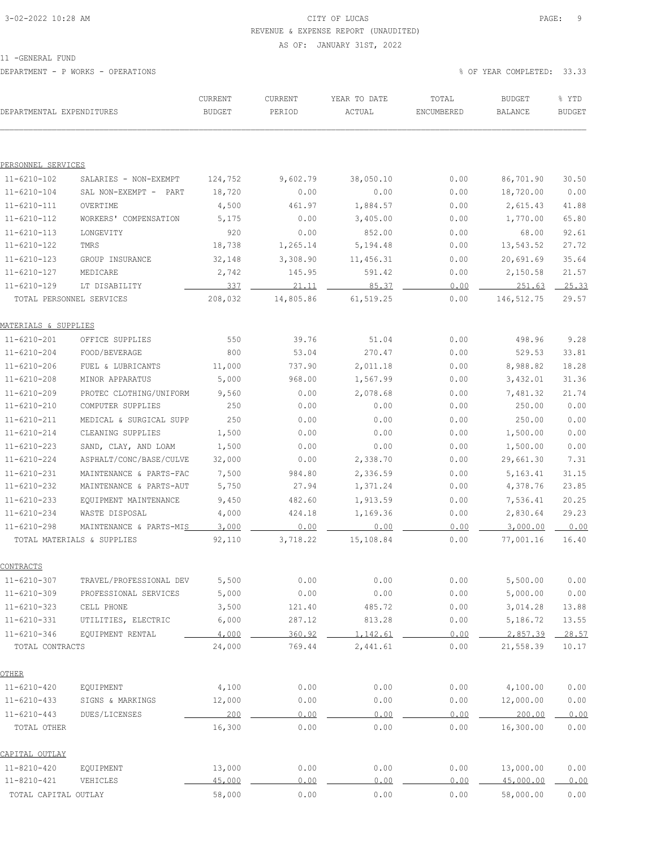# 3-02-2022 10:28 AM CITY OF LUCAS PAGE: 9 REVENUE & EXPENSE REPORT (UNAUDITED)

#### AS OF: JANUARY 31ST, 2022

11 -GENERAL FUND

DEPARTMENT - P WORKS - OPERATIONS % OF YEAR COMPLETED: 33.33

| DEPARTMENTAL EXPENDITURES |                            | CURRENT<br><b>BUDGET</b> | CURRENT<br>PERIOD | YEAR TO DATE<br>ACTUAL | TOTAL<br>ENCUMBERED | <b>BUDGET</b><br>BALANCE | % YTD<br><b>BUDGET</b> |
|---------------------------|----------------------------|--------------------------|-------------------|------------------------|---------------------|--------------------------|------------------------|
|                           |                            |                          |                   |                        |                     |                          |                        |
| PERSONNEL SERVICES        |                            |                          |                   |                        |                     |                          |                        |
| $11 - 6210 - 102$         | SALARIES - NON-EXEMPT      | 124,752                  | 9,602.79          | 38,050.10              | 0.00                | 86,701.90                | 30.50                  |
| $11 - 6210 - 104$         | SAL NON-EXEMPT - PART      | 18,720                   | 0.00              | 0.00                   | 0.00                | 18,720.00                | 0.00                   |
| $11 - 6210 - 111$         | OVERTIME                   | 4,500                    | 461.97            | 1,884.57               | 0.00                | 2,615.43                 | 41.88                  |
| $11 - 6210 - 112$         | WORKERS' COMPENSATION      | 5,175                    | 0.00              | 3,405.00               | 0.00                | 1,770.00                 | 65.80                  |
| $11 - 6210 - 113$         | LONGEVITY                  | 920                      | 0.00              | 852.00                 | 0.00                | 68.00                    | 92.61                  |
| $11 - 6210 - 122$         | TMRS                       | 18,738                   | 1,265.14          | 5,194.48               | 0.00                | 13,543.52                | 27.72                  |
| $11 - 6210 - 123$         | GROUP INSURANCE            | 32,148                   | 3,308.90          | 11,456.31              | 0.00                | 20,691.69                | 35.64                  |
| $11 - 6210 - 127$         | MEDICARE                   | 2,742                    | 145.95            | 591.42                 | 0.00                | 2,150.58                 | 21.57                  |
| $11 - 6210 - 129$         | LT DISABILITY              | 337                      | 21.11             | 85.37                  | 0.00                | 251.63                   | 25.33                  |
|                           | TOTAL PERSONNEL SERVICES   | 208,032                  | 14,805.86         | 61,519.25              | 0.00                | 146,512.75               | 29.57                  |
| MATERIALS & SUPPLIES      |                            |                          |                   |                        |                     |                          |                        |
| $11 - 6210 - 201$         | OFFICE SUPPLIES            | 550                      | 39.76             | 51.04                  | 0.00                | 498.96                   | 9.28                   |
| $11 - 6210 - 204$         | FOOD/BEVERAGE              | 800                      | 53.04             | 270.47                 | 0.00                | 529.53                   | 33.81                  |
| $11 - 6210 - 206$         | FUEL & LUBRICANTS          | 11,000                   | 737.90            | 2,011.18               | 0.00                | 8,988.82                 | 18.28                  |
| $11 - 6210 - 208$         | MINOR APPARATUS            | 5,000                    | 968.00            | 1,567.99               | 0.00                | 3,432.01                 | 31.36                  |
| $11 - 6210 - 209$         | PROTEC CLOTHING/UNIFORM    | 9,560                    | 0.00              | 2,078.68               | 0.00                | 7,481.32                 | 21.74                  |
| $11 - 6210 - 210$         | COMPUTER SUPPLIES          | 250                      | 0.00              | 0.00                   | 0.00                | 250.00                   | 0.00                   |
| $11 - 6210 - 211$         | MEDICAL & SURGICAL SUPP    | 250                      | 0.00              | 0.00                   | 0.00                | 250.00                   | 0.00                   |
| $11 - 6210 - 214$         | CLEANING SUPPLIES          | 1,500                    | 0.00              | 0.00                   | 0.00                | 1,500.00                 | 0.00                   |
| $11 - 6210 - 223$         | SAND, CLAY, AND LOAM       | 1,500                    | 0.00              | 0.00                   | 0.00                | 1,500.00                 | 0.00                   |
| $11 - 6210 - 224$         | ASPHALT/CONC/BASE/CULVE    | 32,000                   | 0.00              | 2,338.70               | 0.00                | 29,661.30                | 7.31                   |
| $11 - 6210 - 231$         | MAINTENANCE & PARTS-FAC    | 7,500                    | 984.80            | 2,336.59               | 0.00                | 5,163.41                 | 31.15                  |
| $11 - 6210 - 232$         | MAINTENANCE & PARTS-AUT    | 5,750                    | 27.94             | 1,371.24               | 0.00                | 4,378.76                 | 23.85                  |
| $11 - 6210 - 233$         | EQUIPMENT MAINTENANCE      | 9,450                    | 482.60            | 1,913.59               | 0.00                | 7,536.41                 | 20.25                  |
| $11 - 6210 - 234$         | WASTE DISPOSAL             | 4,000                    | 424.18            | 1,169.36               | 0.00                | 2,830.64                 | 29.23                  |
| $11 - 6210 - 298$         | MAINTENANCE & PARTS-MIS    | 3,000                    | 0.00              | 0.00                   | 0.00                | 3,000.00                 | 0.00                   |
|                           | TOTAL MATERIALS & SUPPLIES | 92,110                   | 3,718.22          | 15,108.84              | 0.00                | 77,001.16                | 16.40                  |
| CONTRACTS                 |                            |                          |                   |                        |                     |                          |                        |
| $11 - 6210 - 307$         | TRAVEL/PROFESSIONAL DEV    | 5,500                    | 0.00              | 0.00                   | 0.00                | 5,500.00                 | 0.00                   |
| $11 - 6210 - 309$         | PROFESSIONAL SERVICES      | 5,000                    | 0.00              | 0.00                   | 0.00                | 5,000.00                 | 0.00                   |
| $11 - 6210 - 323$         | CELL PHONE                 | 3,500                    | 121.40            | 485.72                 | 0.00                | 3,014.28                 | 13.88                  |
| $11 - 6210 - 331$         | UTILITIES, ELECTRIC        | 6,000                    | 287.12            | 813.28                 | 0.00                | 5,186.72                 | 13.55                  |
| $11 - 6210 - 346$         | EQUIPMENT RENTAL           | 4,000                    | 360.92            | 1,142.61               | 0.00                | 2,857.39                 | 28.57                  |
| TOTAL CONTRACTS           |                            | 24,000                   | 769.44            | 2,441.61               | 0.00                | 21,558.39                | 10.17                  |
| <u>OTHER</u>              |                            |                          |                   |                        |                     |                          |                        |
| 11-6210-420               | EQUIPMENT                  | 4,100                    | 0.00              | 0.00                   | 0.00                | 4,100.00                 | 0.00                   |
| $11 - 6210 - 433$         | SIGNS & MARKINGS           | 12,000                   | 0.00              | 0.00                   | 0.00                | 12,000.00                | 0.00                   |
| $11 - 6210 - 443$         | DUES/LICENSES              | 200                      | 0.00              | 0.00                   | 0.00                | 200.00                   | 0.00                   |
| TOTAL OTHER               |                            | 16,300                   | 0.00              | 0.00                   | 0.00                | 16,300.00                | 0.00                   |
| CAPITAL OUTLAY            |                            |                          |                   |                        |                     |                          |                        |
| 11-8210-420               | EQUIPMENT                  | 13,000                   | 0.00              | 0.00                   | 0.00                | 13,000.00                | 0.00                   |
| $11 - 8210 - 421$         | VEHICLES                   | 45,000                   | 0.00              | 0.00                   | 0.00                | 45,000.00                | 0.00                   |
| TOTAL CAPITAL OUTLAY      |                            | 58,000                   | 0.00              | 0.00                   | 0.00                | 58,000.00                | 0.00                   |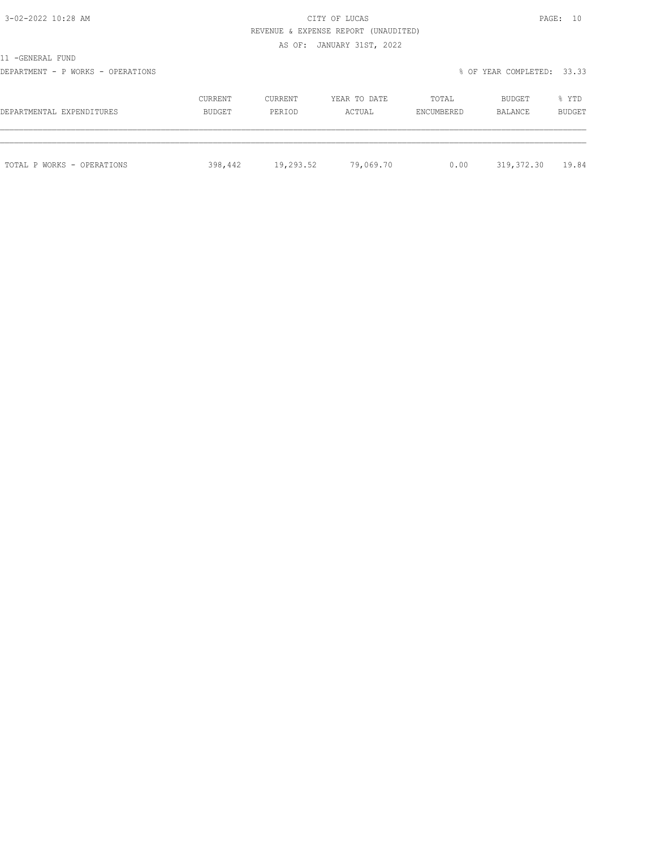# 3-02-2022 10:28 AM CITY OF LUCAS PAGE: 10 REVENUE & EXPENSE REPORT (UNAUDITED)

AS OF: JANUARY 31ST, 2022

11 -GENERAL FUND

DEPARTMENT - P WORKS - OPERATIONS **EXECUTE EXECUTE EXECUTE EXECUTE EXECUTE EXECUTE E** SOF YEAR COMPLETED: 33.33

| DEPARTMENTAL EXPENDITURES  | <b>CURRENT</b> | <b>CURRENT</b> | YEAR TO DATE | TOTAL      | BUDGET     | % YTD         |
|----------------------------|----------------|----------------|--------------|------------|------------|---------------|
|                            | BUDGET         | PERIOD         | ACTUAL       | ENCUMBERED | BALANCE    | <b>BUDGET</b> |
| TOTAL P WORKS - OPERATIONS | 398,442        | 19,293.52      | 79,069.70    | 0.00       | 319,372.30 | 19.84         |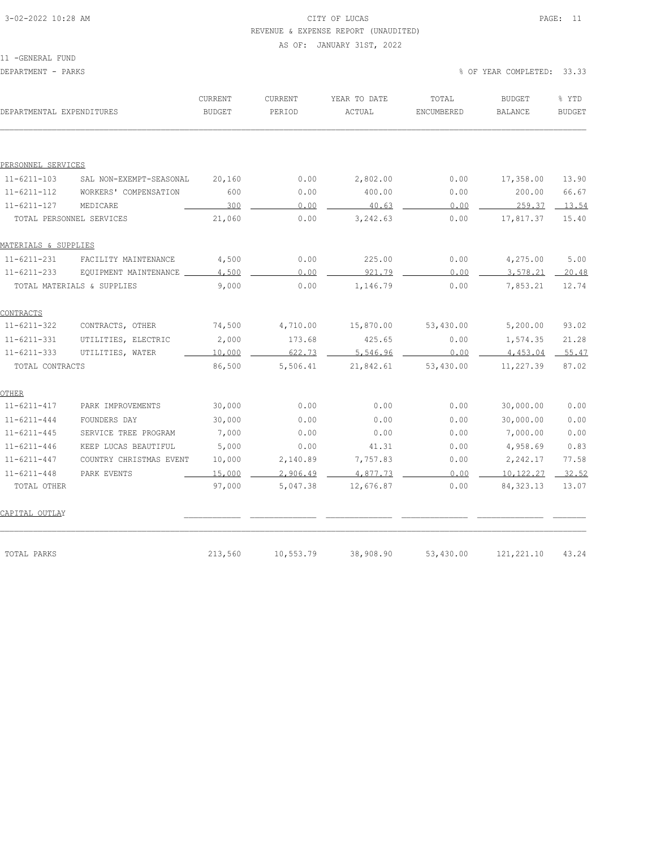# 3-02-2022 10:28 AM CITY OF LUCAS PAGE: 11 REVENUE & EXPENSE REPORT (UNAUDITED)

#### AS OF: JANUARY 31ST, 2022

| DEPARTMENTAL EXPENDITURES |                            | CURRENT<br><b>BUDGET</b> | CURRENT<br>PERIOD | YEAR TO DATE<br>ACTUAL | TOTAL<br>ENCUMBERED | <b>BUDGET</b><br><b>BALANCE</b> | % YTD<br><b>BUDGET</b> |
|---------------------------|----------------------------|--------------------------|-------------------|------------------------|---------------------|---------------------------------|------------------------|
|                           |                            |                          |                   |                        |                     |                                 |                        |
| PERSONNEL SERVICES        |                            |                          |                   |                        |                     |                                 |                        |
| $11 - 6211 - 103$         | SAL NON-EXEMPT-SEASONAL    | 20,160                   | 0.00              | 2,802.00               | 0.00                | 17,358.00                       | 13.90                  |
| $11 - 6211 - 112$         | WORKERS' COMPENSATION      | 600                      | 0.00              | 400.00                 | 0.00                | 200.00                          | 66.67                  |
| $11 - 6211 - 127$         | MEDICARE                   | 300                      | 0.00              | 40.63                  | 0.00                | 259.37                          | 13.54                  |
|                           | TOTAL PERSONNEL SERVICES   | 21,060                   | 0.00              | 3,242.63               | 0.00                | 17,817.37                       | 15.40                  |
| MATERIALS & SUPPLIES      |                            |                          |                   |                        |                     |                                 |                        |
| $11 - 6211 - 231$         | FACILITY MAINTENANCE       | 4,500                    | 0.00              | 225.00                 | 0.00                | 4,275.00                        | 5.00                   |
| $11 - 6211 - 233$         | EQUIPMENT MAINTENANCE _    | 4,500                    | 0.00              | 921.79                 | 0.00                | 3,578.21                        | 20.48                  |
|                           | TOTAL MATERIALS & SUPPLIES | 9,000                    | 0.00              | 1,146.79               | 0.00                | 7,853.21                        | 12.74                  |
| CONTRACTS                 |                            |                          |                   |                        |                     |                                 |                        |
| $11 - 6211 - 322$         | CONTRACTS, OTHER           | 74,500                   | 4,710.00          | 15,870.00              | 53,430.00           | 5,200.00                        | 93.02                  |
| $11 - 6211 - 331$         | UTILITIES, ELECTRIC        | 2,000                    | 173.68            | 425.65                 | 0.00                | 1,574.35                        | 21.28                  |
| $11 - 6211 - 333$         | UTILITIES, WATER           | 10,000                   | 622.73            | 5,546.96               | 0.00                | 4,453.04                        | 55.47                  |
| TOTAL CONTRACTS           |                            | 86,500                   | 5,506.41          | 21,842.61              | 53,430.00           | 11,227.39                       | 87.02                  |
| OTHER                     |                            |                          |                   |                        |                     |                                 |                        |
| $11 - 6211 - 417$         | PARK IMPROVEMENTS          | 30,000                   | 0.00              | 0.00                   | 0.00                | 30,000.00                       | 0.00                   |
| $11 - 6211 - 444$         | FOUNDERS DAY               | 30,000                   | 0.00              | 0.00                   | 0.00                | 30,000.00                       | 0.00                   |
| $11 - 6211 - 445$         | SERVICE TREE PROGRAM       | 7,000                    | 0.00              | 0.00                   | 0.00                | 7,000.00                        | 0.00                   |
| $11 - 6211 - 446$         | KEEP LUCAS BEAUTIFUL       | 5,000                    | 0.00              | 41.31                  | 0.00                | 4,958.69                        | 0.83                   |
| $11 - 6211 - 447$         | COUNTRY CHRISTMAS EVENT    | 10,000                   | 2,140.89          | 7,757.83               | 0.00                | 2,242.17                        | 77.58                  |
| $11 - 6211 - 448$         | PARK EVENTS                | 15,000                   | 2,906.49          | 4,877.73               | 0.00                | 10,122.27                       | 32.52                  |
| TOTAL OTHER               |                            | 97,000                   | 5,047.38          | 12,676.87              | 0.00                | 84, 323. 13                     | 13.07                  |
| CAPITAL OUTLAY            |                            |                          |                   |                        |                     |                                 |                        |
| TOTAL PARKS               |                            | 213,560                  | 10,553.79         | 38,908.90              | 53,430.00           | 121, 221.10                     | 43.24                  |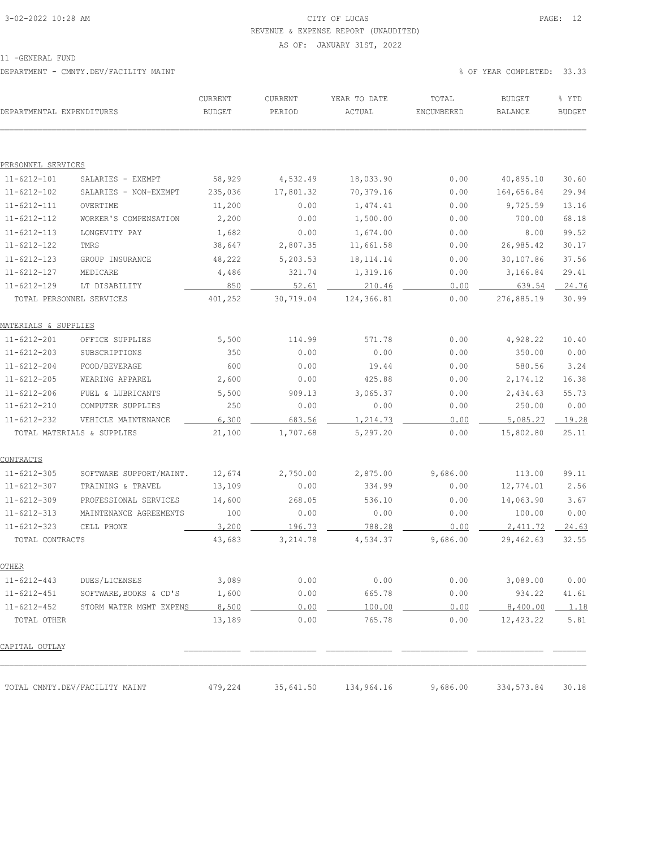# 3-02-2022 10:28 AM CITY OF LUCAS PAGE: 12 REVENUE & EXPENSE REPORT (UNAUDITED)

AS OF: JANUARY 31ST, 2022

11 -GENERAL FUND

DEPARTMENT - CMNTY.DEV/FACILITY MAINT % OF YEAR COMPLETED: 33.33

| DEPARTMENTAL EXPENDITURES |                                | <b>CURRENT</b><br><b>BUDGET</b> | CURRENT<br>PERIOD | YEAR TO DATE<br>ACTUAL | TOTAL<br>ENCUMBERED | <b>BUDGET</b><br><b>BALANCE</b> | % YTD<br><b>BUDGET</b> |
|---------------------------|--------------------------------|---------------------------------|-------------------|------------------------|---------------------|---------------------------------|------------------------|
|                           |                                |                                 |                   |                        |                     |                                 |                        |
| PERSONNEL SERVICES        |                                |                                 |                   |                        |                     |                                 |                        |
| $11 - 6212 - 101$         | SALARIES - EXEMPT              | 58,929                          | 4,532.49          | 18,033.90              | 0.00                | 40,895.10                       | 30.60                  |
| $11 - 6212 - 102$         | SALARIES - NON-EXEMPT          | 235,036                         | 17,801.32         | 70,379.16              | 0.00                | 164,656.84                      | 29.94                  |
| $11 - 6212 - 111$         | OVERTIME                       | 11,200                          | 0.00              | 1,474.41               | 0.00                | 9,725.59                        | 13.16                  |
| $11 - 6212 - 112$         | WORKER'S COMPENSATION          | 2,200                           | 0.00              | 1,500.00               | 0.00                | 700.00                          | 68.18                  |
| $11 - 6212 - 113$         | LONGEVITY PAY                  | 1,682                           | 0.00              | 1,674.00               | 0.00                | 8.00                            | 99.52                  |
| $11 - 6212 - 122$         | TMRS                           | 38,647                          | 2,807.35          | 11,661.58              | 0.00                | 26,985.42                       | 30.17                  |
| $11 - 6212 - 123$         | GROUP INSURANCE                | 48,222                          | 5,203.53          | 18, 114. 14            | 0.00                | 30,107.86                       | 37.56                  |
| $11 - 6212 - 127$         | MEDICARE                       | 4,486                           | 321.74            | 1,319.16               | 0.00                | 3,166.84                        | 29.41                  |
| $11 - 6212 - 129$         | LT DISABILITY                  | 850                             | 52.61             | 210.46                 | 0.00                | 639.54                          | 24.76                  |
| TOTAL PERSONNEL SERVICES  |                                | 401,252                         | 30,719.04         | 124,366.81             | 0.00                | 276,885.19                      | 30.99                  |
| MATERIALS & SUPPLIES      |                                |                                 |                   |                        |                     |                                 |                        |
| $11 - 6212 - 201$         | OFFICE SUPPLIES                | 5,500                           | 114.99            | 571.78                 | 0.00                | 4,928.22                        | 10.40                  |
| $11 - 6212 - 203$         | SUBSCRIPTIONS                  | 350                             | 0.00              | 0.00                   | 0.00                | 350.00                          | 0.00                   |
| $11 - 6212 - 204$         | FOOD/BEVERAGE                  | 600                             | 0.00              | 19.44                  | 0.00                | 580.56                          | 3.24                   |
| $11 - 6212 - 205$         | WEARING APPAREL                | 2,600                           | 0.00              | 425.88                 | 0.00                | 2,174.12                        | 16.38                  |
| $11 - 6212 - 206$         | FUEL & LUBRICANTS              | 5,500                           | 909.13            | 3,065.37               | 0.00                | 2,434.63                        | 55.73                  |
| $11 - 6212 - 210$         | COMPUTER SUPPLIES              | 250                             | 0.00              | 0.00                   | 0.00                | 250.00                          | 0.00                   |
| $11 - 6212 - 232$         | VEHICLE MAINTENANCE            | 6,300                           | 683.56            | 1,214.73               | 0.00                | 5,085.27                        | 19.28                  |
|                           | TOTAL MATERIALS & SUPPLIES     | 21,100                          | 1,707.68          | 5,297.20               | 0.00                | 15,802.80                       | 25.11                  |
| CONTRACTS                 |                                |                                 |                   |                        |                     |                                 |                        |
| $11 - 6212 - 305$         | SOFTWARE SUPPORT/MAINT.        | 12,674                          | 2,750.00          | 2,875.00               | 9,686.00            | 113.00                          | 99.11                  |
| $11 - 6212 - 307$         | TRAINING & TRAVEL              | 13,109                          | 0.00              | 334.99                 | 0.00                | 12,774.01                       | 2.56                   |
| $11 - 6212 - 309$         | PROFESSIONAL SERVICES          | 14,600                          | 268.05            | 536.10                 | 0.00                | 14,063.90                       | 3.67                   |
| $11 - 6212 - 313$         | MAINTENANCE AGREEMENTS         | 100                             | 0.00              | 0.00                   | 0.00                | 100.00                          | 0.00                   |
| $11 - 6212 - 323$         | CELL PHONE                     | 3,200                           | 196.73            | 788.28                 | 0.00                | 2,411.72                        | 24.63                  |
| TOTAL CONTRACTS           |                                | 43,683                          | 3, 214.78         | 4,534.37               | 9,686.00            | 29,462.63                       | 32.55                  |
| OTHER                     |                                |                                 |                   |                        |                     |                                 |                        |
| $11 - 6212 - 443$         | DUES/LICENSES                  | 3,089                           | 0.00              | 0.00                   | 0.00                | 3,089.00                        | 0.00                   |
| $11 - 6212 - 451$         | SOFTWARE, BOOKS & CD'S         | 1,600                           | 0.00              | 665.78                 | 0.00                | 934.22                          | 41.61                  |
| $11 - 6212 - 452$         | STORM WATER MGMT EXPENS        | 8,500                           | 0.00              | 100.00                 | 0.00                | 8,400.00                        | 1.18                   |
| TOTAL OTHER               |                                | 13,189                          | 0.00              | 765.78                 | 0.00                | 12,423.22                       | 5.81                   |
| CAPITAL OUTLAY            |                                |                                 |                   |                        |                     |                                 |                        |
|                           | TOTAL CMNTY.DEV/FACILITY MAINT | 479,224                         | 35,641.50         | 134,964.16             | 9,686.00            | 334,573.84                      | 30.18                  |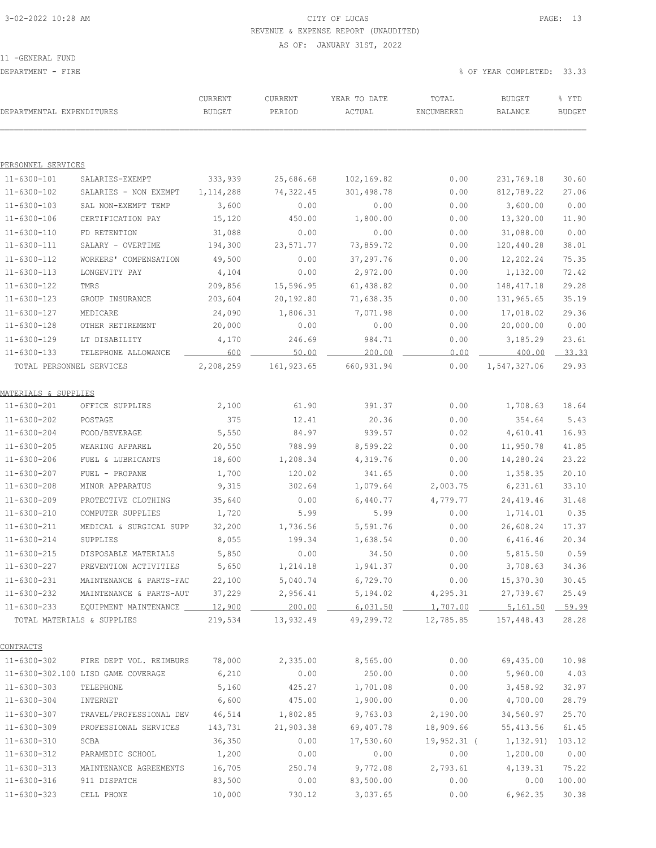### 3-02-2022 10:28 AM CITY OF LUCAS PAGE: 13 REVENUE & EXPENSE REPORT (UNAUDITED) AS OF: JANUARY 31ST, 2022

11 -GENERAL FUND

DEPARTMENT - FIRE % OF YEAR COMPLETED: 33.33

| DEPARTMENTAL EXPENDITURES        |                                    | CURRENT<br><b>BUDGET</b> | CURRENT<br>PERIOD | YEAR TO DATE<br>ACTUAL | TOTAL<br>ENCUMBERED | BUDGET<br>BALANCE | % YTD<br><b>BUDGET</b> |
|----------------------------------|------------------------------------|--------------------------|-------------------|------------------------|---------------------|-------------------|------------------------|
|                                  |                                    |                          |                   |                        |                     |                   |                        |
| PERSONNEL SERVICES               |                                    |                          |                   |                        |                     |                   |                        |
| 11-6300-101                      | SALARIES-EXEMPT                    | 333,939                  | 25,686.68         | 102,169.82             | 0.00                | 231,769.18        | 30.60                  |
| 11-6300-102                      | SALARIES - NON EXEMPT              | 1, 114, 288              | 74,322.45         | 301,498.78             | 0.00                | 812,789.22        | 27.06                  |
| $11 - 6300 - 103$                | SAL NON-EXEMPT TEMP                | 3,600                    | 0.00              | 0.00                   | 0.00                | 3,600.00          | 0.00                   |
| 11-6300-106                      | CERTIFICATION PAY                  | 15,120                   | 450.00            | 1,800.00               | 0.00                | 13,320.00         | 11.90                  |
| $11 - 6300 - 110$                | FD RETENTION                       | 31,088                   | 0.00              | 0.00                   | 0.00                | 31,088.00         | 0.00                   |
| 11-6300-111                      | SALARY - OVERTIME                  | 194,300                  | 23,571.77         | 73,859.72              | 0.00                | 120,440.28        | 38.01                  |
| 11-6300-112                      | WORKERS' COMPENSATION              | 49,500                   | 0.00              | 37,297.76              | 0.00                | 12,202.24         | 75.35                  |
| $11 - 6300 - 113$                | LONGEVITY PAY                      | 4,104                    | 0.00              | 2,972.00               | 0.00                | 1,132.00          | 72.42                  |
| $11 - 6300 - 122$                | TMRS                               | 209,856                  | 15,596.95         | 61,438.82              | 0.00                | 148, 417. 18      | 29.28                  |
| 11-6300-123                      | GROUP INSURANCE                    | 203,604                  | 20,192.80         | 71,638.35              | 0.00                | 131,965.65        | 35.19                  |
| $11 - 6300 - 127$                | MEDICARE                           | 24,090                   | 1,806.31          | 7,071.98               | 0.00                | 17,018.02         | 29.36                  |
| $11 - 6300 - 128$                | OTHER RETIREMENT                   | 20,000                   | 0.00              | 0.00                   | 0.00                | 20,000.00         | 0.00                   |
| 11-6300-129                      | LT DISABILITY                      | 4,170                    | 246.69            | 984.71                 | 0.00                | 3,185.29          | 23.61                  |
| $11 - 6300 - 133$                | TELEPHONE ALLOWANCE                | 600                      | 50.00             | 200.00                 | 0.00                | 400.00            | 33.33                  |
| TOTAL PERSONNEL SERVICES         |                                    | 2,208,259                | 161, 923.65       | 660, 931.94            | 0.00                | 1,547,327.06      | 29.93                  |
| <u> MATERIALS &amp; SUPPLIES</u> |                                    |                          |                   |                        |                     |                   |                        |
| 11-6300-201                      | OFFICE SUPPLIES                    | 2,100                    | 61.90             | 391.37                 | 0.00                | 1,708.63          | 18.64                  |
| 11-6300-202                      | POSTAGE                            | 375                      | 12.41             | 20.36                  | 0.00                | 354.64            | 5.43                   |
| 11-6300-204                      | FOOD/BEVERAGE                      | 5,550                    | 84.97             | 939.57                 | 0.02                | 4,610.41          | 16.93                  |
| $11 - 6300 - 205$                | WEARING APPAREL                    | 20,550                   | 788.99            | 8,599.22               | 0.00                | 11,950.78         | 41.85                  |
| 11-6300-206                      | FUEL & LUBRICANTS                  | 18,600                   | 1,208.34          | 4,319.76               | 0.00                | 14,280.24         | 23.22                  |
| $11 - 6300 - 207$                | FUEL - PROPANE                     | 1,700                    | 120.02            | 341.65                 | 0.00                | 1,358.35          | 20.10                  |
| 11-6300-208                      | MINOR APPARATUS                    | 9,315                    | 302.64            | 1,079.64               | 2,003.75            | 6, 231.61         | 33.10                  |
| $11 - 6300 - 209$                | PROTECTIVE CLOTHING                | 35,640                   | 0.00              | 6,440.77               | 4,779.77            | 24,419.46         | 31.48                  |
| $11 - 6300 - 210$                | COMPUTER SUPPLIES                  | 1,720                    | 5.99              | 5.99                   | 0.00                | 1,714.01          | 0.35                   |
| $11 - 6300 - 211$                | MEDICAL & SURGICAL SUPP            | 32,200                   | 1,736.56          | 5,591.76               | 0.00                | 26,608.24         | 17.37                  |
| $11 - 6300 - 214$                | SUPPLIES                           | 8,055                    | 199.34            | 1,638.54               | 0.00                | 6,416.46          | 20.34                  |
| $11 - 6300 - 215$                | DISPOSABLE MATERIALS               | 5,850                    | 0.00              | 34.50                  | 0.00                | 5,815.50          | 0.59                   |
| 11-6300-227                      | PREVENTION ACTIVITIES              | 5,650                    | 1,214.18          | 1,941.37               | 0.00                | 3,708.63          | 34.36                  |
| $11 - 6300 - 231$                | MAINTENANCE & PARTS-FAC            | 22,100                   | 5,040.74          | 6,729.70               | 0.00                | 15,370.30         | 30.45                  |
| 11-6300-232                      | MAINTENANCE & PARTS-AUT            | 37,229                   | 2,956.41          | 5,194.02               | 4,295.31            | 27,739.67         | 25.49                  |
| $11 - 6300 - 233$                | EQUIPMENT MAINTENANCE 12,900       |                          | 200.00            | 6,031.50               | 1,707.00            | 5,161.50          | 59.99                  |
|                                  | TOTAL MATERIALS & SUPPLIES         | 219,534                  | 13,932.49         | 49,299.72              | 12,785.85           | 157,448.43        | 28.28                  |
| CONTRACTS                        |                                    |                          |                   |                        |                     |                   |                        |
| 11-6300-302                      | FIRE DEPT VOL. REIMBURS            | 78,000                   | 2,335.00          | 8,565.00               | 0.00                | 69,435.00         | 10.98                  |
|                                  | 11-6300-302.100 LISD GAME COVERAGE | 6,210                    | 0.00              | 250.00                 | 0.00                | 5,960.00          | 4.03                   |
| $11 - 6300 - 303$                | TELEPHONE                          | 5,160                    | 425.27            | 1,701.08               | 0.00                | 3,458.92          | 32.97                  |
| 11-6300-304                      | INTERNET                           | 6,600                    | 475.00            | 1,900.00               | 0.00                | 4,700.00          | 28.79                  |
| $11 - 6300 - 307$                | TRAVEL/PROFESSIONAL DEV            | 46,514                   | 1,802.85          | 9,763.03               | 2,190.00            | 34,560.97         | 25.70                  |
| 11-6300-309                      | PROFESSIONAL SERVICES              | 143,731                  | 21,903.38         | 69,407.78              | 18,909.66           | 55, 413.56        | 61.45                  |
| 11-6300-310                      | SCBA                               | 36,350                   | 0.00              | 17,530.60              | $19,952.31$ (       | 1,132.91)         | 103.12                 |
| 11-6300-312                      | PARAMEDIC SCHOOL                   | 1,200                    | 0.00              | 0.00                   | 0.00                | 1,200.00          | 0.00                   |
| $11 - 6300 - 313$                | MAINTENANCE AGREEMENTS             | 16,705                   | 250.74            | 9,772.08               | 2,793.61            | 4,139.31          | 75.22                  |
| $11 - 6300 - 316$                | 911 DISPATCH                       | 83,500                   | 0.00              | 83,500.00              | 0.00                | 0.00              | 100.00                 |
| $11 - 6300 - 323$                | CELL PHONE                         | 10,000                   | 730.12            | 3,037.65               | 0.00                | 6,962.35          | 30.38                  |
|                                  |                                    |                          |                   |                        |                     |                   |                        |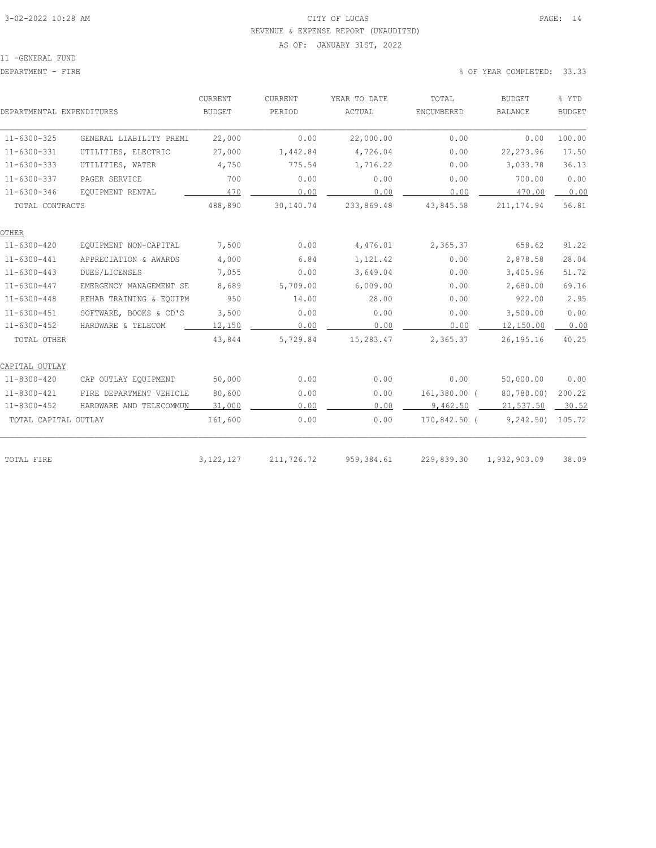# 3-02-2022 10:28 AM CITY OF LUCAS PAGE: 14 REVENUE & EXPENSE REPORT (UNAUDITED)

#### AS OF: JANUARY 31ST, 2022

11 -GENERAL FUND

### DEPARTMENT - FIRE 6000 SOLUTION COMPLETED: 33.33

|                           |                         | CURRENT       | CURRENT    | YEAR TO DATE | TOTAL          | <b>BUDGET</b>  | % YTD         |
|---------------------------|-------------------------|---------------|------------|--------------|----------------|----------------|---------------|
| DEPARTMENTAL EXPENDITURES |                         | <b>BUDGET</b> | PERIOD     | ACTUAL       | ENCUMBERED     | <b>BALANCE</b> | <b>BUDGET</b> |
| $11 - 6300 - 325$         | GENERAL LIABILITY PREMI | 22,000        | 0.00       | 22,000.00    | 0.00           | 0.00           | 100.00        |
| $11 - 6300 - 331$         | UTILITIES, ELECTRIC     | 27,000        | 1,442.84   | 4,726.04     | 0.00           | 22, 273.96     | 17.50         |
| $11 - 6300 - 333$         | UTILITIES, WATER        | 4,750         | 775.54     | 1,716.22     | 0.00           | 3,033.78       | 36.13         |
| $11 - 6300 - 337$         | PAGER SERVICE           | 700           | 0.00       | 0.00         | 0.00           | 700.00         | 0.00          |
| $11 - 6300 - 346$         | EQUIPMENT RENTAL        | 470           | 0.00       | 0.00         | 0.00           | 470.00         | 0.00          |
| TOTAL CONTRACTS           |                         | 488,890       | 30,140.74  | 233,869.48   | 43,845.58      | 211, 174.94    | 56.81         |
| <b>OTHER</b>              |                         |               |            |              |                |                |               |
| $11 - 6300 - 420$         | EQUIPMENT NON-CAPITAL   | 7,500         | 0.00       | 4,476.01     | 2,365.37       | 658.62         | 91.22         |
| $11 - 6300 - 441$         | APPRECIATION & AWARDS   | 4,000         | 6.84       | 1,121.42     | 0.00           | 2,878.58       | 28.04         |
| $11 - 6300 - 443$         | DUES/LICENSES           | 7,055         | 0.00       | 3,649.04     | 0.00           | 3,405.96       | 51.72         |
| $11 - 6300 - 447$         | EMERGENCY MANAGEMENT SE | 8,689         | 5,709.00   | 6,009.00     | 0.00           | 2,680.00       | 69.16         |
| $11 - 6300 - 448$         | REHAB TRAINING & EQUIPM | 950           | 14.00      | 28.00        | 0.00           | 922.00         | 2.95          |
| $11 - 6300 - 451$         | SOFTWARE, BOOKS & CD'S  | 3,500         | 0.00       | 0.00         | 0.00           | 3,500.00       | 0.00          |
| $11 - 6300 - 452$         | HARDWARE & TELECOM      | 12,150        | 0.00       | 0.00         | 0.00           | 12,150.00      | 0.00          |
| TOTAL OTHER               |                         | 43,844        | 5,729.84   | 15,283.47    | 2,365.37       | 26, 195. 16    | 40.25         |
| CAPITAL OUTLAY            |                         |               |            |              |                |                |               |
| $11 - 8300 - 420$         | CAP OUTLAY EQUIPMENT    | 50,000        | 0.00       | 0.00         | 0.00           | 50,000.00      | 0.00          |
| 11-8300-421               | FIRE DEPARTMENT VEHICLE | 80,600        | 0.00       | 0.00         | $161,380.00$ ( | 80,780.00)     | 200.22        |
| 11-8300-452               | HARDWARE AND TELECOMMUN | 31,000        | 0.00       | 0.00         | 9,462.50       | 21,537.50      | $-30.52$      |
| TOTAL CAPITAL OUTLAY      |                         | 161,600       | 0.00       | 0.00         | 170,842.50 (   | 9, 242.50      | 105.72        |
|                           |                         |               |            |              |                |                |               |
| TOTAL FIRE                |                         | 3, 122, 127   | 211,726.72 | 959, 384.61  | 229,839.30     | 1,932,903.09   | 38.09         |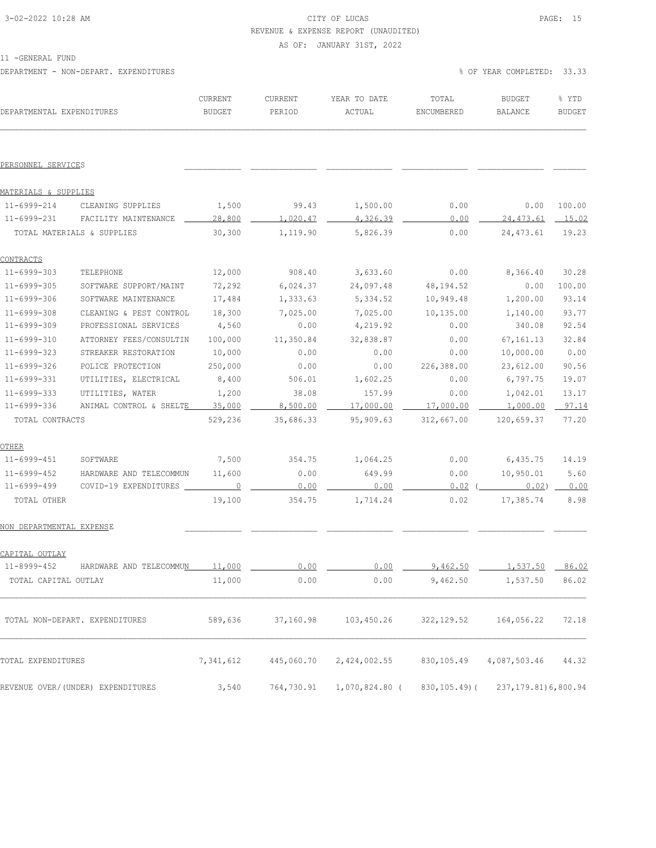## 3-02-2022 10:28 AM CITY OF LUCAS PAGE: 15 REVENUE & EXPENSE REPORT (UNAUDITED)

AS OF: JANUARY 31ST, 2022

11 -GENERAL FUND

DEPARTMENT - NON-DEPART. EXPENDITURES % OF YEAR COMPLETED: 33.33

| DEPARTMENTAL EXPENDITURES  |                                        | CURRENT<br>BUDGET | CURRENT<br>PERIOD | YEAR TO DATE<br>ACTUAL | TOTAL<br>ENCUMBERED | BUDGET<br>BALANCE     | % YTD<br><b>BUDGET</b> |
|----------------------------|----------------------------------------|-------------------|-------------------|------------------------|---------------------|-----------------------|------------------------|
| PERSONNEL SERVICES         |                                        |                   |                   |                        |                     |                       |                        |
| MATERIALS & SUPPLIES       |                                        |                   |                   |                        |                     |                       |                        |
| 11-6999-214                | CLEANING SUPPLIES                      | 1,500             | 99.43             | 1,500.00               | 0.00                | 0.00                  | 100.00                 |
| 11-6999-231                | FACILITY MAINTENANCE                   | 28,800            | 1,020.47          | 4,326.39               | 0.00                | 24,473.61             | 15.02                  |
| TOTAL MATERIALS & SUPPLIES |                                        | 30,300            | 1,119.90          | 5,826.39               | 0.00                | 24,473.61             | 19.23                  |
| <u>CONTRACTS</u>           |                                        |                   |                   |                        |                     |                       |                        |
| 11-6999-303                | TELEPHONE                              | 12,000            | 908.40            | 3,633.60               | 0.00                | 8,366.40              | 30.28                  |
| 11-6999-305                | SOFTWARE SUPPORT/MAINT                 | 72,292            | 6,024.37          | 24,097.48              | 48,194.52           | 0.00                  | 100.00                 |
| $11 - 6999 - 306$          | SOFTWARE MAINTENANCE                   | 17,484            | 1,333.63          | 5,334.52               | 10,949.48           | 1,200.00              | 93.14                  |
| $11 - 6999 - 308$          | CLEANING & PEST CONTROL                | 18,300            | 7,025.00          | 7,025.00               | 10,135.00           | 1,140.00              | 93.77                  |
| 11-6999-309                | PROFESSIONAL SERVICES                  | 4,560             | 0.00              | 4,219.92               | 0.00                | 340.08                | 92.54                  |
| 11-6999-310                | ATTORNEY FEES/CONSULTIN                | 100,000           | 11,350.84         | 32,838.87              | 0.00                | 67,161.13             | 32.84                  |
| 11-6999-323                | STREAKER RESTORATION                   | 10,000            | 0.00              | 0.00                   | 0.00                | 10,000.00             | 0.00                   |
| 11-6999-326                | POLICE PROTECTION                      | 250,000           | 0.00              | 0.00                   | 226,388.00          | 23,612.00             | 90.56                  |
| 11-6999-331                | UTILITIES, ELECTRICAL                  | 8,400             | 506.01            | 1,602.25               | 0.00                | 6,797.75              | 19.07                  |
| $11 - 6999 - 333$          | UTILITIES, WATER                       | 1,200             | 38.08             | 157.99                 | 0.00                | 1,042.01              | 13.17                  |
| 11-6999-336                | ANIMAL CONTROL & SHELTE                | 35,000            | 8,500.00          | $17,000.00$ $\Box$     | 17,000.00           | $1,000.00$ 97.14      |                        |
| TOTAL CONTRACTS            |                                        | 529,236           | 35,686.33         | 95,909.63              | 312,667.00          | 120,659.37            | 77.20                  |
| OTHER                      |                                        |                   |                   |                        |                     |                       |                        |
| 11-6999-451                | SOFTWARE                               | 7,500             | 354.75            | 1,064.25               | 0.00                | 6,435.75              | 14.19                  |
| 11-6999-452                | HARDWARE AND TELECOMMUN                | 11,600            | 0.00              | 649.99                 | 0.00                | 10,950.01             | 5.60                   |
| 11-6999-499                | COVID-19 EXPENDITURES _______________0 |                   | 0.00              | 0.00                   | $0.02$ (            | 0.02) 0.00            |                        |
| TOTAL OTHER                |                                        | 19,100            | 354.75            | 1,714.24               | 0.02                | 17,385.74             | 8.98                   |
| NON DEPARTMENTAL EXPENSE   |                                        |                   |                   |                        |                     |                       |                        |
| CAPITAL OUTLAY             |                                        |                   |                   |                        |                     |                       |                        |
| $11 - 8999 - 452$          | HARDWARE AND TELECOMMUN                | 11 000            | 0.00              | 0.00                   | 0.16250             | 1 537 50 86 02        |                        |
| TOTAL CAPITAL OUTLAY       |                                        | 11,000            | 0.00              | 0.00                   | 9,462.50            | 1,537.50              | 86.02                  |
|                            | TOTAL NON-DEPART. EXPENDITURES         | 589,636           | 37,160.98         | 103,450.26             | 322,129.52          | 164,056.22            | 72.18                  |
| TOTAL EXPENDITURES         |                                        | 7,341,612         | 445,060.70        | 2,424,002.55           | 830, 105.49         | 4,087,503.46          | 44.32                  |
|                            | REVENUE OVER/ (UNDER) EXPENDITURES     | 3,540             | 764,730.91        | 1,070,824.80 (         | 830,105.49)(        | 237, 179.81) 6,800.94 |                        |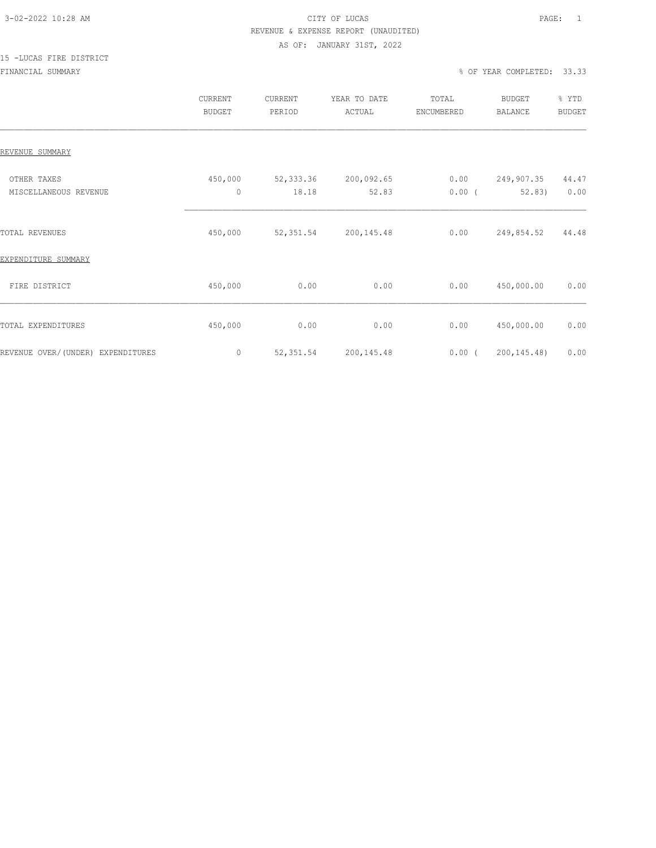### 3-02-2022 10:28 AM CITY OF LUCAS PAGE: 1 REVENUE & EXPENSE REPORT (UNAUDITED) AS OF: JANUARY 31ST, 2022

# 15 -LUCAS FIRE DISTRICT

|                                      | CURRENT<br><b>BUDGET</b> | CURRENT<br>PERIOD  | YEAR TO DATE<br>ACTUAL | TOTAL<br>ENCUMBERED | <b>BUDGET</b><br><b>BALANCE</b> | % YTD<br><b>BUDGET</b> |
|--------------------------------------|--------------------------|--------------------|------------------------|---------------------|---------------------------------|------------------------|
| REVENUE SUMMARY                      |                          |                    |                        |                     |                                 |                        |
| OTHER TAXES<br>MISCELLANEOUS REVENUE | 450,000<br>$\mathbf 0$   | 52,333.36<br>18.18 | 200,092.65<br>52.83    | 0.00<br>$0.00$ (    | 249,907.35<br>52.83)            | 44.47<br>0.00          |
| TOTAL REVENUES                       | 450,000                  | 52, 351.54         | 200, 145.48            | 0.00                | 249,854.52                      | 44.48                  |
| EXPENDITURE SUMMARY                  |                          |                    |                        |                     |                                 |                        |
| FIRE DISTRICT                        | 450,000                  | 0.00               | 0.00                   | 0.00                | 450,000.00                      | 0.00                   |
| TOTAL EXPENDITURES                   | 450,000                  | 0.00               | 0.00                   | 0.00                | 450,000.00                      | 0.00                   |
| REVENUE OVER/(UNDER) EXPENDITURES    | $\circ$                  | 52, 351.54         | 200, 145.48            | 0.00(               | 200, 145.48)                    | 0.00                   |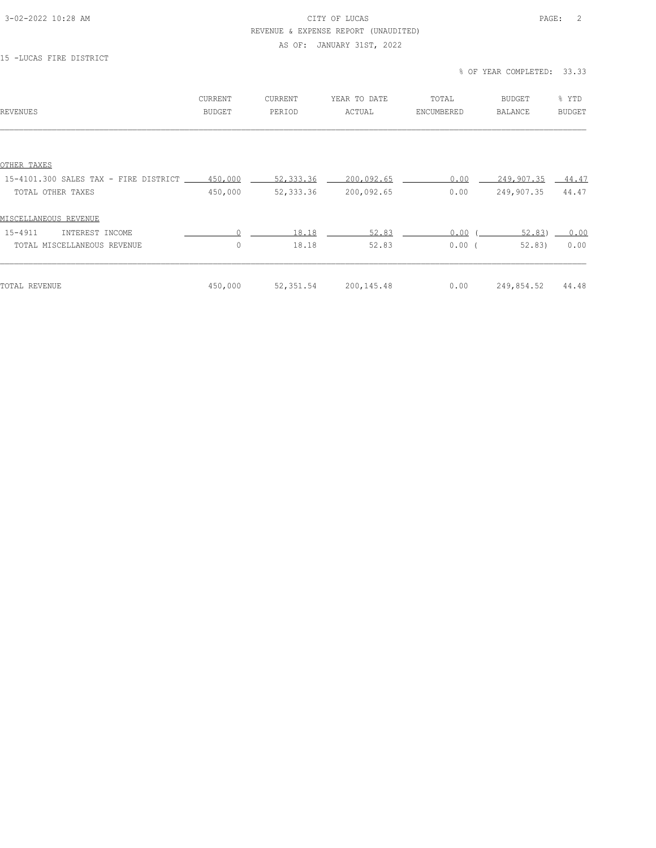### 3-02-2022 10:28 AM CITY OF LUCAS PAGE: 2 REVENUE & EXPENSE REPORT (UNAUDITED)

#### AS OF: JANUARY 31ST, 2022

### 15 -LUCAS FIRE DISTRICT

### % OF YEAR COMPLETED: 33.33

| REVENUES                              | CURRENT<br><b>BUDGET</b> | CURRENT<br>PERIOD | YEAR TO DATE<br>ACTUAL | TOTAL<br>ENCUMBERED | <b>BUDGET</b><br><b>BALANCE</b> | % YTD<br><b>BUDGET</b> |
|---------------------------------------|--------------------------|-------------------|------------------------|---------------------|---------------------------------|------------------------|
|                                       |                          |                   |                        |                     |                                 |                        |
| OTHER TAXES                           |                          |                   |                        |                     |                                 |                        |
| 15-4101.300 SALES TAX - FIRE DISTRICT | 450,000                  | 52, 333.36        | 200,092.65             | 0.00                | 249,907.35                      | $-44.47$               |
| TOTAL OTHER TAXES                     | 450,000                  | 52, 333.36        | 200,092.65             | 0.00                | 249,907.35                      | 44.47                  |
| MISCELLANEOUS REVENUE                 |                          |                   |                        |                     |                                 |                        |
| 15-4911<br>INTEREST INCOME            | $\cap$                   | 18.18             | 52.83                  | 0.00                | 52.83                           | 0.00                   |
| TOTAL MISCELLANEOUS REVENUE           | $\circ$                  | 18.18             | 52.83                  | 0.00(               | 52.83                           | 0.00                   |
|                                       |                          |                   |                        |                     |                                 |                        |
| TOTAL REVENUE                         | 450,000                  | 52,351.54         | 200,145.48             | 0.00                | 249,854.52                      | 44.48                  |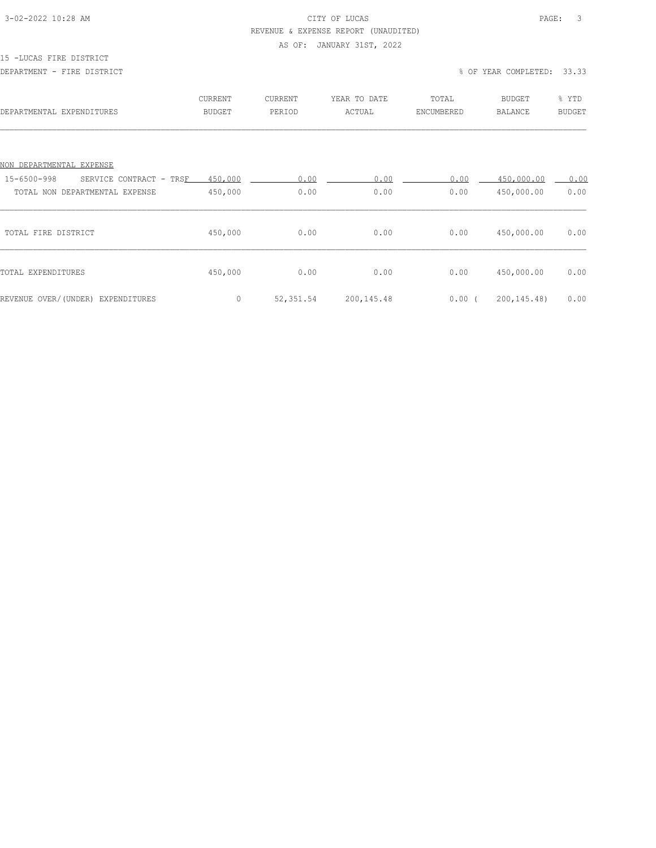### 3-02-2022 10:28 AM CITY OF LUCAS PAGE: 3 REVENUE & EXPENSE REPORT (UNAUDITED)

#### AS OF: JANUARY 31ST, 2022

#### 15 -LUCAS FIRE DISTRICT

#### DEPARTMENT - FIRE DISTRICT % OF YEAR COMPLETED: 33.33

| DEPARTMENTAL EXPENDITURES              | CURRENT<br><b>BUDGET</b> | <b>CURRENT</b><br>PERIOD | YEAR TO DATE<br>ACTUAL | TOTAL<br>ENCUMBERED | <b>BUDGET</b><br><b>BALANCE</b> | % YTD<br><b>BUDGET</b> |
|----------------------------------------|--------------------------|--------------------------|------------------------|---------------------|---------------------------------|------------------------|
|                                        |                          |                          |                        |                     |                                 |                        |
| NON DEPARTMENTAL EXPENSE               |                          |                          |                        |                     |                                 |                        |
| 15-6500-998<br>SERVICE CONTRACT - TRSF | 450,000                  | 0.00                     | 0.00                   | 0.00                | 450,000.00                      | 0.00                   |
| TOTAL NON DEPARTMENTAL EXPENSE         | 450,000                  | 0.00                     | 0.00                   | 0.00                | 450,000.00                      | 0.00                   |
| TOTAL FIRE DISTRICT                    | 450,000                  | 0.00                     | 0.00                   | 0.00                | 450,000.00                      | 0.00                   |
| TOTAL EXPENDITURES                     | 450,000                  | 0.00                     | 0.00                   | 0.00                | 450,000.00                      | 0.00                   |
| REVENUE OVER/(UNDER) EXPENDITURES      | $\circ$                  | 52,351.54                | 200,145.48             | 0.00(               | 200, 145. 48)                   | 0.00                   |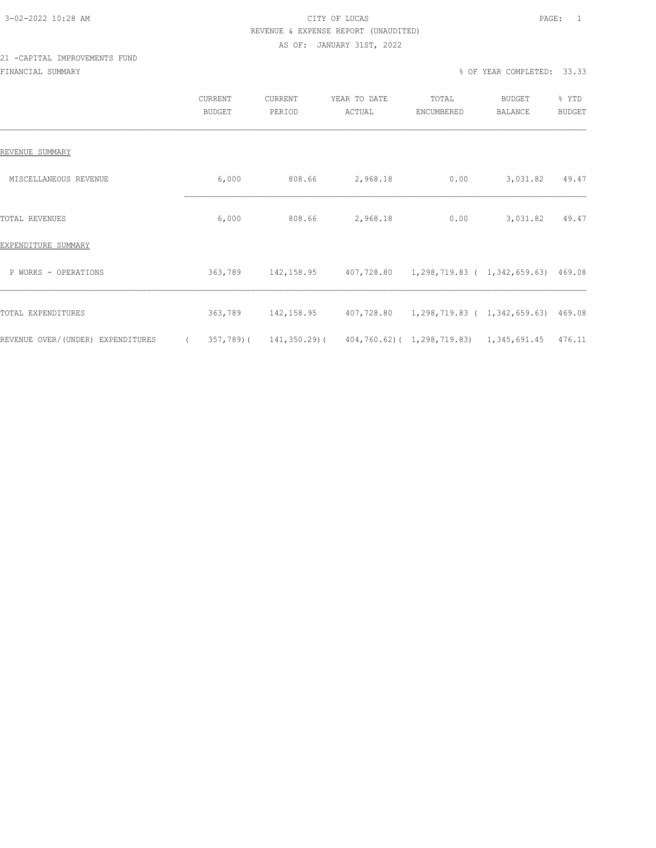### 3-02-2022 10:28 AM CITY OF LUCAS PAGE: 1 REVENUE & EXPENSE REPORT (UNAUDITED) AS OF: JANUARY 31ST, 2022

### 21 -CAPITAL IMPROVEMENTS FUND FINANCIAL SUMMARY % OF YEAR COMPLETED: 33.33

|                                   |          | CURRENT<br><b>BUDGET</b> | CURRENT<br>PERIOD | YEAR TO DATE<br>ACTUAL                                     | TOTAL<br>ENCUMBERED | BUDGET<br>BALANCE | % YTD<br><b>BUDGET</b> |
|-----------------------------------|----------|--------------------------|-------------------|------------------------------------------------------------|---------------------|-------------------|------------------------|
| REVENUE SUMMARY                   |          |                          |                   |                                                            |                     |                   |                        |
| MISCELLANEOUS REVENUE             |          | 6,000                    | 808.66            | 2,968.18                                                   | 0.00                | 3,031.82          | 49.47                  |
| <b>TOTAL REVENUES</b>             |          | 6,000                    | 808.66            | 2,968.18                                                   | 0.00                | 3,031.82          | 49.47                  |
| EXPENDITURE SUMMARY               |          |                          |                   |                                                            |                     |                   |                        |
| P WORKS - OPERATIONS              |          | 363,789                  |                   | 142,158.95 407,728.80 1,298,719.83 ( 1,342,659.63) 469.08  |                     |                   |                        |
| TOTAL EXPENDITURES                |          | 363,789                  |                   | 142,158.95 407,728.80 1,298,719.83 ( 1,342,659.63) 469.08  |                     |                   |                        |
| REVENUE OVER/(UNDER) EXPENDITURES | $\left($ | 357,789)(                |                   | 141, 350.29) (404, 760.62) (1, 298, 719.83) 1, 345, 691.45 |                     |                   | 476.11                 |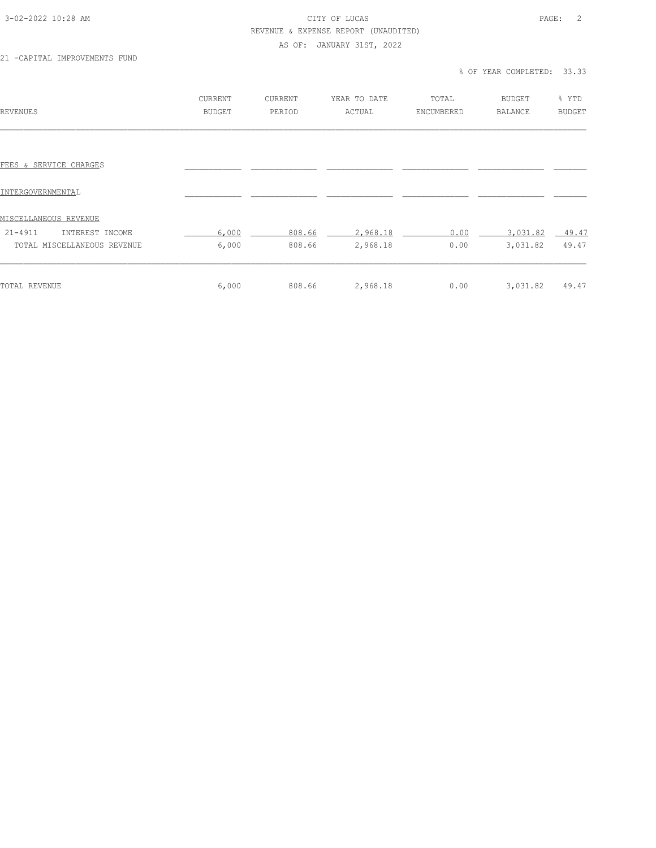### 3-02-2022 10:28 AM CITY OF LUCAS PAGE: 2 REVENUE & EXPENSE REPORT (UNAUDITED)

#### AS OF: JANUARY 31ST, 2022

21 -CAPITAL IMPROVEMENTS FUND

### % OF YEAR COMPLETED: 33.33

| REVENUES                       | CURRENT<br><b>BUDGET</b> | <b>CURRENT</b><br>PERIOD | YEAR TO DATE<br>ACTUAL | TOTAL<br>ENCUMBERED | <b>BUDGET</b><br>BALANCE | % YTD<br><b>BUDGET</b> |
|--------------------------------|--------------------------|--------------------------|------------------------|---------------------|--------------------------|------------------------|
|                                |                          |                          |                        |                     |                          |                        |
| FEES & SERVICE CHARGES         |                          |                          |                        |                     |                          |                        |
| INTERGOVERNMENTAL              |                          |                          |                        |                     |                          |                        |
| <u>MISCELLANEOUS REVENUE</u>   |                          |                          |                        |                     |                          |                        |
| $21 - 4911$<br>INTEREST INCOME | 6,000                    | 808.66                   | 2,968.18               | 0.00                | 3,031.82                 | $-49.47$               |
| TOTAL MISCELLANEOUS REVENUE    | 6,000                    | 808.66                   | 2,968.18               | 0.00                | 3,031.82                 | 49.47                  |
| TOTAL REVENUE                  | 6,000                    | 808.66                   | 2,968.18               | 0.00                | 3,031.82                 | 49.47                  |
|                                |                          |                          |                        |                     |                          |                        |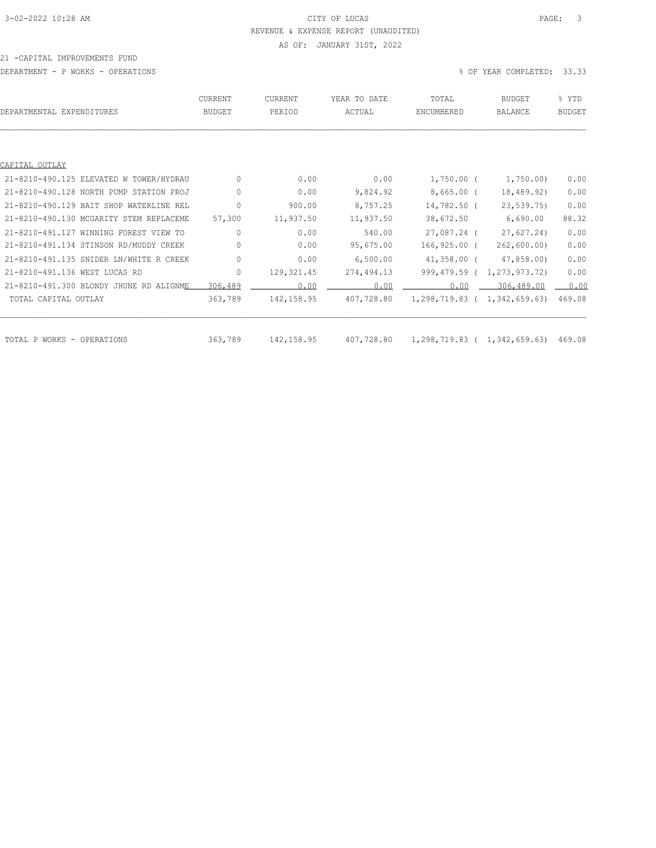### 3-02-2022 10:28 AM CITY OF LUCAS PAGE: 3 REVENUE & EXPENSE REPORT (UNAUDITED) AS OF: JANUARY 31ST, 2022

#### 21 -CAPITAL IMPROVEMENTS FUND

DEPARTMENT - P WORKS - OPERATIONS % OF YEAR COMPLETED: 33.33

| DEPARTMENTAL EXPENDITURES               | <b>CURRENT</b><br><b>BUDGET</b> | <b>CURRENT</b><br>PERIOD | YEAR TO DATE<br>ACTUAL | TOTAL<br>ENCUMBERED          | <b>BUDGET</b><br>BALANCE | % YTD<br><b>BUDGET</b> |
|-----------------------------------------|---------------------------------|--------------------------|------------------------|------------------------------|--------------------------|------------------------|
|                                         |                                 |                          |                        |                              |                          |                        |
| CAPITAL OUTLAY                          |                                 |                          |                        |                              |                          |                        |
| 21-8210-490.125 ELEVATED W TOWER/HYDRAU | $\mathbf{0}$                    | 0.00                     | 0.00                   | $1,750.00$ (                 | 1,750.00)                | 0.00                   |
| 21-8210-490.128 NORTH PUMP STATION PROJ | 0                               | 0.00                     | 9,824.92               | $8,665.00$ (                 | 18,489.92)               | 0.00                   |
| 21-8210-490.129 BAIT SHOP WATERLINE REL | $\circ$                         | 900.00                   | 8,757.25               | 14,782.50 (                  | 23, 539, 75)             | 0.00                   |
| 21-8210-490.130 MCGARITY STEM REPLACEME | 57,300                          | 11,937.50                | 11,937.50              | 38,672.50                    | 6,690.00                 | 88.32                  |
| 21-8210-491.127 WINNING FOREST VIEW TO  | $\circ$                         | 0.00                     | 540.00                 | 27,087.24 (                  | 27,627.24                | 0.00                   |
| 21-8210-491.134 STINSON RD/MUDDY CREEK  | $\Omega$                        | 0.00                     | 95,675.00              | 166,925.00 (                 | 262, 600.00)             | 0.00                   |
| 21-8210-491.135 SNIDER LN/WHITE R CREEK | $\circ$                         | 0.00                     | 6,500.00               | $41,358.00$ (                | 47,858.00)               | 0.00                   |
| 21-8210-491.136 WEST LUCAS RD           | $\mathbf{0}$                    | 129, 321.45              | 274,494.13             | 999,479.59 (                 | 1,273,973.72)            | 0.00                   |
| 21-8210-491.300 BLONDY JHUNE RD ALIGNME | 306,489                         | 0.00                     | 0.00                   | 0.00                         | 306,489.00               | 0.00                   |
| TOTAL CAPITAL OUTLAY                    | 363,789                         | 142,158.95               | 407,728.80             | 1,298,719.83 ( 1,342,659.63) |                          | 469.08                 |
|                                         |                                 |                          |                        |                              |                          |                        |
| TOTAL P WORKS - OPERATIONS              | 363,789                         | 142, 158.95              | 407,728.80             | 1,298,719.83 ( 1,342,659.63) |                          | 469.08                 |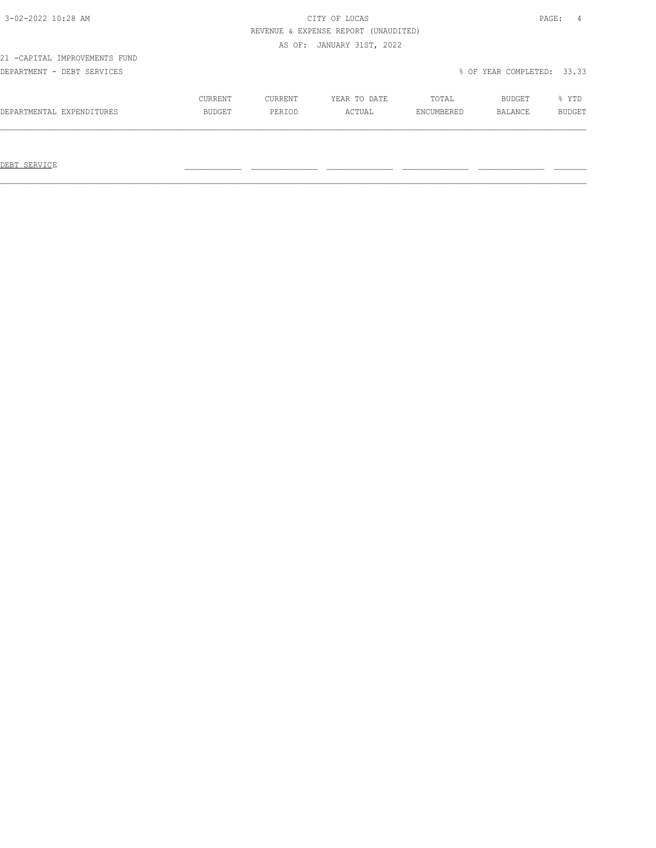### 3-02-2022 10:28 AM CITY OF LUCAS PAGE: 4 REVENUE & EXPENSE REPORT (UNAUDITED) AS OF: JANUARY 31ST, 2022

21 -CAPITAL IMPROVEMENTS FUND

DEPARTMENT - DEBT SERVICES % OF YEAR COMPLETED: 33.33

|                           | CURRENT       | CURRENT | YEAR TO DATE | TOTAL      | BUDGET         | YTD.          |
|---------------------------|---------------|---------|--------------|------------|----------------|---------------|
| DEPARTMENTAL EXPENDITURES | <b>BUDGET</b> | PERTOD  | ACTUAL       | ENCUMBERED | <b>BALANCE</b> | <b>BUDGET</b> |
|                           |               |         |              |            |                |               |

 $\mathcal{L}_\text{max} = \mathcal{L}_\text{max} = \mathcal{L}_\text{max} = \mathcal{L}_\text{max} = \mathcal{L}_\text{max} = \mathcal{L}_\text{max} = \mathcal{L}_\text{max} = \mathcal{L}_\text{max} = \mathcal{L}_\text{max} = \mathcal{L}_\text{max} = \mathcal{L}_\text{max} = \mathcal{L}_\text{max} = \mathcal{L}_\text{max} = \mathcal{L}_\text{max} = \mathcal{L}_\text{max} = \mathcal{L}_\text{max} = \mathcal{L}_\text{max} = \mathcal{L}_\text{max} = \mathcal{$ 

DEBT SERVICE \_\_\_\_\_\_\_\_\_\_\_\_ \_\_\_\_\_\_\_\_\_\_\_\_\_\_ \_\_\_\_\_\_\_\_\_\_\_\_\_\_ \_\_\_\_\_\_\_\_\_\_\_\_\_\_ \_\_\_\_\_\_\_\_\_\_\_\_\_\_ \_\_\_\_\_\_\_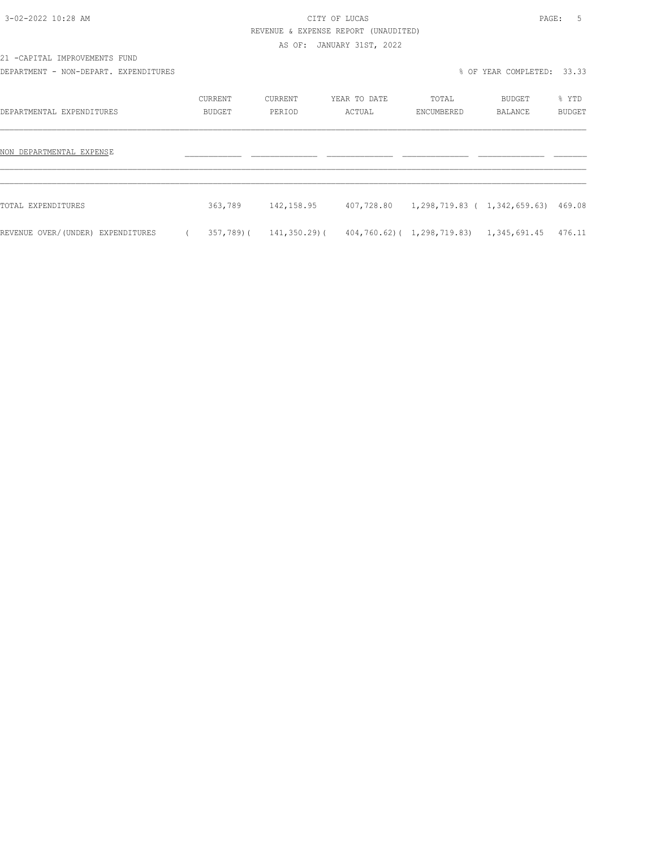# 3-02-2022 10:28 AM CITY OF LUCAS PAGE: 5 REVENUE & EXPENSE REPORT (UNAUDITED)

AS OF: JANUARY 31ST, 2022

21 -CAPITAL IMPROVEMENTS FUND

DEPARTMENT - NON-DEPART. EXPENDITURES % OF YEAR COMPLETED: 33.33

| DEPARTMENTAL EXPENDITURES         | CURRENT<br>BUDGET | CURRENT<br>PERIOD | YEAR TO DATE<br>ACTUAL | TOTAL<br>ENCUMBERED                 | BUDGET<br>BALANCE | % YTD<br><b>BUDGET</b> |
|-----------------------------------|-------------------|-------------------|------------------------|-------------------------------------|-------------------|------------------------|
| NON DEPARTMENTAL EXPENSE          |                   |                   |                        |                                     |                   |                        |
| TOTAL EXPENDITURES                | 363,789           | 142,158.95        | 407,728.80             | 1,298,719.83 ( 1,342,659.63) 469.08 |                   |                        |
| REVENUE OVER/(UNDER) EXPENDITURES | 357,789)(         | 141,350.29)(      |                        | 404,760.62)( 1,298,719.83)          | 1,345,691.45      | 476.11                 |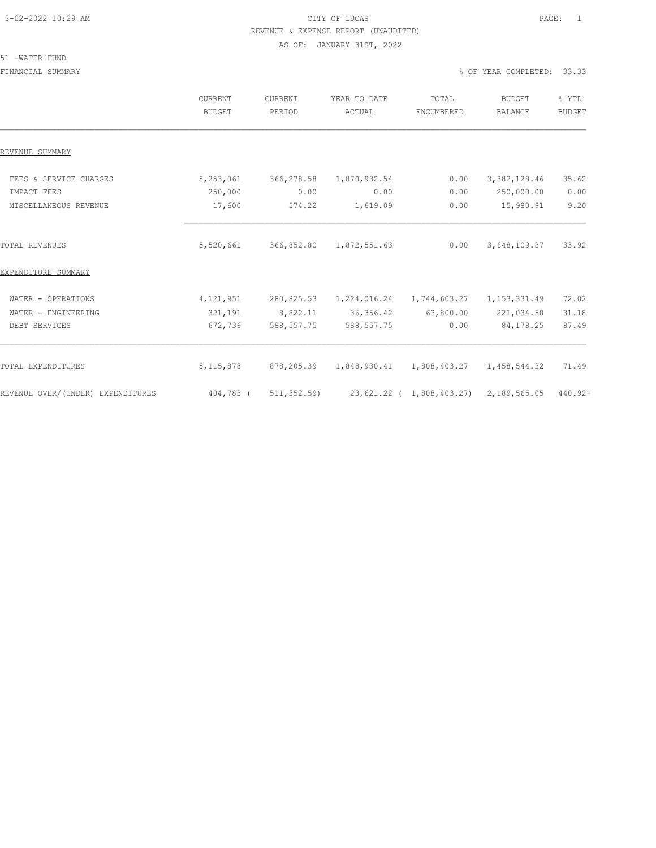### 3-02-2022 10:29 AM CITY OF LUCAS PAGE: 1 REVENUE & EXPENSE REPORT (UNAUDITED) AS OF: JANUARY 31ST, 2022

#### 51 -WATER FUND

FINANCIAL SUMMARY % OF YEAR COMPLETED: 33.33

|                                   | CURRENT<br><b>BUDGET</b> | CURRENT<br>PERIOD | YEAR TO DATE<br>ACTUAL                                  | TOTAL<br>ENCUMBERED           | <b>BUDGET</b><br>BALANCE | % YTD<br><b>BUDGET</b> |
|-----------------------------------|--------------------------|-------------------|---------------------------------------------------------|-------------------------------|--------------------------|------------------------|
| REVENUE SUMMARY                   |                          |                   |                                                         |                               |                          |                        |
| FEES & SERVICE CHARGES            | 5,253,061                | 366,278.58        | 1,870,932.54                                            | 0.00                          | 3, 382, 128.46           | 35.62                  |
| IMPACT FEES                       | 250,000                  | 0.00              | 0.00                                                    | 0.00                          | 250,000.00               | 0.00                   |
| MISCELLANEOUS REVENUE             | 17,600                   | 574.22            | 1,619.09                                                | 0.00                          | 15,980.91                | 9.20                   |
| <b>TOTAL REVENUES</b>             | 5,520,661                | 366,852.80        | 1,872,551.63                                            | 0.00                          | 3,648,109.37             | 33.92                  |
| EXPENDITURE SUMMARY               |                          |                   |                                                         |                               |                          |                        |
| WATER - OPERATIONS                | 4, 121, 951              | 280,825.53        |                                                         | 1, 224, 016.24 1, 744, 603.27 | 1, 153, 331.49           | 72.02                  |
| WATER - ENGINEERING               | 321,191                  | 8,822.11          | 36, 356.42                                              | 63,800.00                     | 221,034.58               | 31.18                  |
| DEBT SERVICES                     | 672,736                  | 588, 557.75       | 588, 557.75                                             | 0.00                          | 84, 178. 25              | 87.49                  |
| TOTAL EXPENDITURES                | 5, 115, 878              | 878,205.39        |                                                         |                               | 1,458,544.32             | 71.49                  |
| REVENUE OVER/(UNDER) EXPENDITURES | 404,783 (                |                   | $511, 352.59$ 23, 621.22 (1,808, 403.27) 2, 189, 565.05 |                               |                          | $440.92 -$             |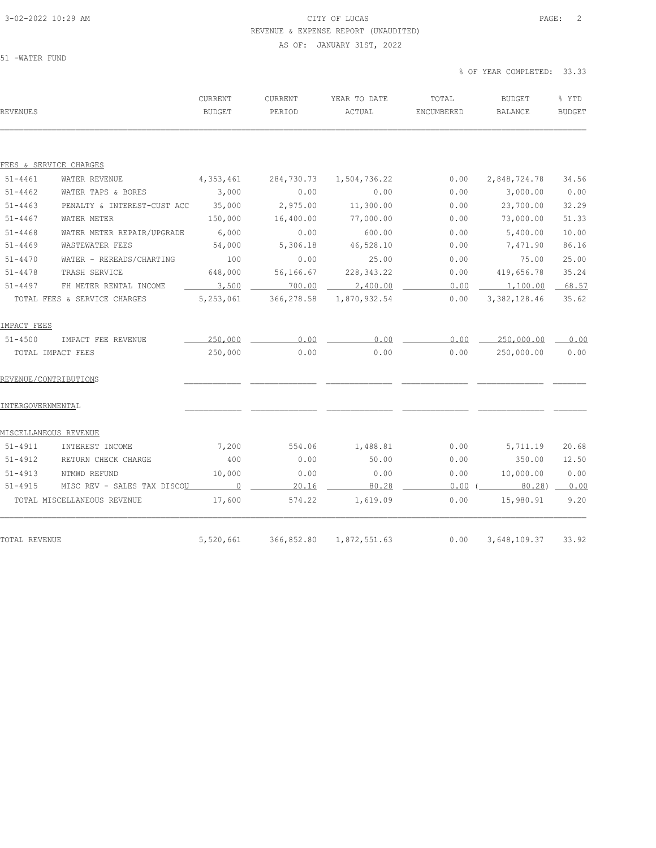### 3-02-2022 10:29 AM CITY OF LUCAS PAGE: 2 REVENUE & EXPENSE REPORT (UNAUDITED) AS OF: JANUARY 31ST, 2022

51 -WATER FUND

% OF YEAR COMPLETED: 33.33

| REVENUES               |                                    | <b>CURRENT</b><br>BUDGET | <b>CURRENT</b><br>PERIOD | YEAR TO DATE<br>ACTUAL | TOTAL<br>ENCUMBERED | <b>BUDGET</b><br><b>BALANCE</b> | % YTD<br><b>BUDGET</b> |
|------------------------|------------------------------------|--------------------------|--------------------------|------------------------|---------------------|---------------------------------|------------------------|
| FEES & SERVICE CHARGES |                                    |                          |                          |                        |                     |                                 |                        |
| $51 - 4461$            | WATER REVENUE                      | 4,353,461                | 284,730.73               | 1,504,736.22           | 0.00                | 2,848,724.78                    | 34.56                  |
| $51 - 4462$            | WATER TAPS & BORES                 | 3,000                    | 0.00                     | 0.00                   | 0.00                | 3,000.00                        | 0.00                   |
| $51 - 4463$            | PENALTY & INTEREST-CUST ACC 35,000 |                          | 2,975.00                 | 11,300.00              | 0.00                | 23,700.00                       | 32.29                  |
| $51 - 4467$            | WATER METER                        | 150,000                  | 16,400.00                | 77,000.00              | 0.00                | 73,000.00                       | 51.33                  |
| $51 - 4468$            | WATER METER REPAIR/UPGRADE         | 6,000                    | 0.00                     | 600.00                 | 0.00                | 5,400.00                        | 10.00                  |
| $51 - 4469$            | WASTEWATER FEES                    | 54,000                   | 5,306.18                 | 46,528.10              | 0.00                | 7,471.90                        | 86.16                  |
| $51 - 4470$            | WATER - REREADS/CHARTING           | 100                      | 0.00                     | 25.00                  | 0.00                | 75.00                           | 25.00                  |
| $51 - 4478$            | TRASH SERVICE                      | 648,000                  | 56,166.67                | 228, 343.22            | 0.00                | 419,656.78                      | 35.24                  |
| $51 - 4497$            | FH METER RENTAL INCOME             | 3,500                    | 700.00                   | 2,400.00               | 0.00                | 1,100.00                        | 68.57                  |
|                        | TOTAL FEES & SERVICE CHARGES       | 5,253,061                | 366,278.58               | 1,870,932.54           | 0.00                | 3, 382, 128.46                  | 35.62                  |
| IMPACT FEES            |                                    |                          |                          |                        |                     |                                 |                        |
| $51 - 4500$            | IMPACT FEE REVENUE                 | 250,000                  | 0.00                     | 0.00                   | 0.00                | 250,000.00                      | 0.00                   |
| TOTAL IMPACT FEES      |                                    | 250,000                  | 0.00                     | 0.00                   | 0.00                | 250,000.00                      | 0.00                   |
| REVENUE/CONTRIBUTIONS  |                                    |                          |                          |                        |                     |                                 |                        |
| INTERGOVERNMENTAL      |                                    |                          |                          |                        |                     |                                 |                        |
| MISCELLANEOUS REVENUE  |                                    |                          |                          |                        |                     |                                 |                        |
| $51 - 4911$            | INTEREST INCOME                    | 7,200                    | 554.06                   | 1,488.81               | 0.00                | 5,711.19                        | 20.68                  |
| 51-4912                | RETURN CHECK CHARGE                | 400                      | 0.00                     | 50.00                  | 0.00                | 350.00                          | 12.50                  |
| $51 - 4913$            | NTMWD REFUND                       | 10,000                   | 0.00                     | 0.00                   | 0.00                | 10,000.00                       | 0.00                   |
| $51 - 4915$            | MISC REV - SALES TAX DISCOU        | $\overline{0}$           | 20.16                    | 80.28                  | 0.00(               | $80.28$ )                       | 0.00                   |
|                        | TOTAL MISCELLANEOUS REVENUE        | 17,600                   | 574.22                   | 1,619.09               | 0.00                | 15,980.91                       | 9.20                   |
| TOTAL REVENUE          |                                    | 5,520,661                | 366,852.80               | 1,872,551.63           | 0.00                | 3,648,109.37                    | 33.92                  |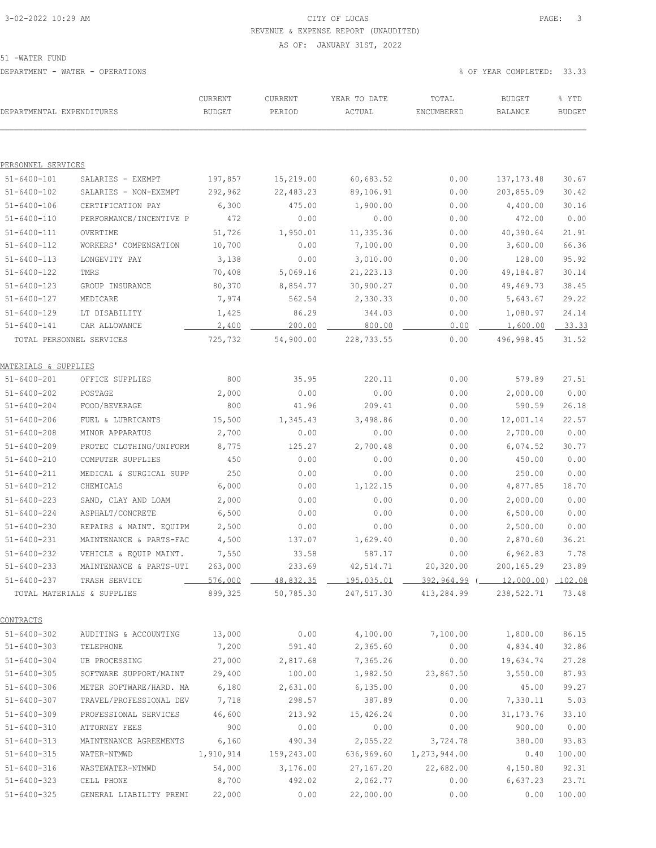# 3-02-2022 10:29 AM CITY OF LUCAS PAGE: 3 REVENUE & EXPENSE REPORT (UNAUDITED)

AS OF: JANUARY 31ST, 2022

51 -WATER FUND

DEPARTMENT - WATER - OPERATIONS % OF YEAR COMPLETED: 33.33

| DEPARTMENTAL EXPENDITURES        |                               | CURRENT<br><b>BUDGET</b> | CURRENT<br>PERIOD    | YEAR TO DATE<br>ACTUAL | TOTAL<br>ENCUMBERED                                  | <b>BUDGET</b><br>BALANCE | % YTD<br><b>BUDGET</b> |
|----------------------------------|-------------------------------|--------------------------|----------------------|------------------------|------------------------------------------------------|--------------------------|------------------------|
|                                  |                               |                          |                      |                        |                                                      |                          |                        |
| PERSONNEL SERVICES               |                               |                          |                      |                        |                                                      |                          |                        |
| $51 - 6400 - 101$                | SALARIES - EXEMPT             | 197,857                  | 15,219.00            | 60,683.52              | 0.00                                                 | 137, 173.48              | 30.67                  |
| $51 - 6400 - 102$                | SALARIES - NON-EXEMPT         | 292,962                  | 22,483.23            | 89,106.91              | 0.00                                                 | 203,855.09               | 30.42                  |
| $51 - 6400 - 106$                | CERTIFICATION PAY             | 6,300                    | 475.00               | 1,900.00               | 0.00                                                 | 4,400.00                 | 30.16                  |
| $51 - 6400 - 110$                | PERFORMANCE/INCENTIVE P       | 472                      | 0.00                 | 0.00                   | 0.00                                                 | 472.00                   | 0.00                   |
| $51 - 6400 - 111$                | OVERTIME                      | 51,726                   | 1,950.01             | 11,335.36              | 0.00                                                 | 40,390.64                | 21.91                  |
| 51-6400-112                      | WORKERS' COMPENSATION         | 10,700                   | 0.00                 | 7,100.00               | 0.00                                                 | 3,600.00                 | 66.36                  |
| $51 - 6400 - 113$                | LONGEVITY PAY                 | 3,138                    | 0.00                 | 3,010.00               | 0.00                                                 | 128.00                   | 95.92                  |
| $51 - 6400 - 122$                | TMRS                          | 70,408                   | 5,069.16             | 21, 223.13             | 0.00                                                 | 49,184.87                | 30.14                  |
| $51 - 6400 - 123$                | GROUP INSURANCE               | 80,370                   | 8,854.77             | 30,900.27              | 0.00                                                 | 49,469.73                | 38.45                  |
| 51-6400-127                      | MEDICARE                      | 7,974                    | 562.54               | 2,330.33               | 0.00                                                 | 5,643.67                 | 29.22                  |
| $51 - 6400 - 129$                | LT DISABILITY                 | 1,425                    | 86.29                | 344.03                 | 0.00                                                 | 1,080.97                 | 24.14                  |
| $51 - 6400 - 141$                | CAR ALLOWANCE                 | 2,400                    | 200.00               | 800.00                 | 0.00                                                 | 1,600.00                 | 33.33                  |
|                                  | TOTAL PERSONNEL SERVICES      | 725,732                  | 54,900.00            | 228,733.55             | 0.00                                                 | 496,998.45               | 31.52                  |
| <u> MATERIALS &amp; SUPPLIES</u> |                               |                          |                      |                        |                                                      |                          |                        |
| $51 - 6400 - 201$                | OFFICE SUPPLIES               | 800                      | 35.95                | 220.11                 | 0.00                                                 | 579.89                   | 27.51                  |
| $51 - 6400 - 202$                | POSTAGE                       | 2,000                    | 0.00                 | 0.00                   | 0.00                                                 | 2,000.00                 | 0.00                   |
| $51 - 6400 - 204$                | FOOD/BEVERAGE                 | 800                      | 41.96                | 209.41                 | 0.00                                                 | 590.59                   | 26.18                  |
| $51 - 6400 - 206$                | FUEL & LUBRICANTS             | 15,500                   | 1,345.43             | 3,498.86               | 0.00                                                 | 12,001.14                | 22.57                  |
| $51 - 6400 - 208$                | MINOR APPARATUS               | 2,700                    | 0.00                 | 0.00                   | 0.00                                                 | 2,700.00                 | 0.00                   |
| $51 - 6400 - 209$                | PROTEC CLOTHING/UNIFORM       | 8,775                    | 125.27               | 2,700.48               | 0.00                                                 | 6,074.52                 | 30.77                  |
| $51 - 6400 - 210$                | COMPUTER SUPPLIES             | 450                      | 0.00                 | 0.00                   | 0.00                                                 | 450.00                   | 0.00                   |
| $51 - 6400 - 211$                | MEDICAL & SURGICAL SUPP       | 250                      | 0.00                 | 0.00                   | 0.00                                                 | 250.00                   | 0.00                   |
| $51 - 6400 - 212$                | CHEMICALS                     | 6,000                    | 0.00                 | 1,122.15               | 0.00                                                 | 4,877.85                 | 18.70                  |
| $51 - 6400 - 223$                | SAND, CLAY AND LOAM           | 2,000                    | 0.00                 | 0.00                   | 0.00                                                 | 2,000.00                 | 0.00                   |
| 51-6400-224                      | ASPHALT/CONCRETE              | 6,500                    | 0.00                 | 0.00                   | 0.00                                                 | 6,500.00                 | 0.00                   |
| $51 - 6400 - 230$                | REPAIRS & MAINT. EQUIPM       | 2,500                    | 0.00                 | 0.00                   | 0.00                                                 | 2,500.00                 | 0.00                   |
| $51 - 6400 - 231$                | MAINTENANCE & PARTS-FAC       | 4,500                    | 137.07               | 1,629.40               | 0.00                                                 | 2,870.60                 | 36.21                  |
| $51 - 6400 - 232$                | VEHICLE & EQUIP MAINT.        | 7,550                    | 33.58                | 587.17                 | 0.00                                                 | 6,962.83                 | 7.78                   |
| 51-6400-233                      | MAINTENANCE & PARTS-UTI       | 263,000                  | 233.69               | 42,514.71              | 20,320.00                                            | 200,165.29               | 23.89                  |
|                                  | 51-6400-237 TRASH SERVICE     | $-576,000$               |                      |                        | $48,832.35$ 195,035.01 392,964.99 (12,000.00) 102.08 |                          |                        |
|                                  | TOTAL MATERIALS & SUPPLIES    |                          | 899,325 50,785.30    |                        | 247,517.30 413,284.99 238,522.71 73.48               |                          |                        |
| CONTRACTS                        |                               |                          |                      |                        |                                                      |                          |                        |
| $51 - 6400 - 302$                | AUDITING & ACCOUNTING 13,000  |                          | 0.00                 | 4,100.00               | 7,100.00 1,800.00                                    |                          | 86.15                  |
| $51 - 6400 - 303$                | TELEPHONE                     | 7,200                    | 591.40               | 2,365.60               | 0.00                                                 | 4,834.40                 | 32.86                  |
| $51 - 6400 - 304$                | UB PROCESSING                 | 27,000                   | 2,817.68             | 7,365.26               | 0.00                                                 | 19,634.74                | 27.28                  |
| $51 - 6400 - 305$                | SOFTWARE SUPPORT/MAINT 29,400 |                          | 100.00               |                        | $1,982.50$ 23,867.50 3,550.00                        |                          | 87.93                  |
| $51 - 6400 - 306$                | METER SOFTWARE/HARD. MA       | 6,180                    | 2,631.00             | 6,135.00               | 0.00                                                 | 45.00                    | 99.27                  |
| $51 - 6400 - 307$                | TRAVEL/PROFESSIONAL DEV 7,718 |                          | 298.57               | 387.89                 | 0.00                                                 | 7,330.11                 | 5.03                   |
| $51 - 6400 - 309$                | PROFESSIONAL SERVICES 46,600  |                          | 213.92               | 15,426.24              | 0.00                                                 | 31, 173. 76              | 33.10                  |
| $51 - 6400 - 310$                | ATTORNEY FEES                 | 900                      | 0.00                 | 0.00                   | 0.00                                                 | 900.00                   | 0.00                   |
| $51 - 6400 - 313$                | MAINTENANCE AGREEMENTS        | 6,160                    | 490.34               | 2,055.22               | 3,724.78                                             | 380.00                   | 93.83                  |
| 51-6400-315                      | WATER-NTMWD                   |                          | 1,910,914 159,243.00 |                        | 636,969.60 1,273,944.00                              | 0.40                     | 100.00                 |
| $51 - 6400 - 316$                | WASTEWATER-NTMWD              | 54,000                   | 3,176.00             | 27,167.20              | 22,682.00                                            | 4,150.80                 | 92.31                  |
| $51 - 6400 - 323$                | CELL PHONE                    | 8,700                    | 492.02               | 2,062.77               | 0.00                                                 | 6,637.23                 | 23.71                  |

51-6400-325 GENERAL LIABILITY PREMI 22,000 0.00 22,000.00 0.00 0.00 100.00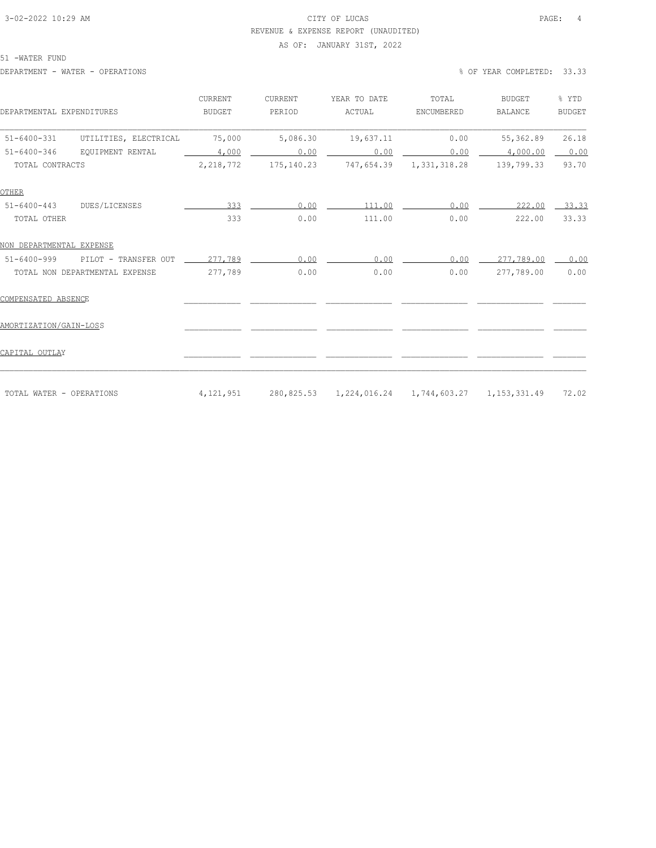### 3-02-2022 10:29 AM CITY OF LUCAS PAGE: 4 REVENUE & EXPENSE REPORT (UNAUDITED)

#### AS OF: JANUARY 31ST, 2022

51 -WATER FUND

DEPARTMENT - WATER - OPERATIONS % OF YEAR COMPLETED: 33.33

| DEPARTMENTAL EXPENDITURES                  | CURRENT<br><b>BUDGET</b> | CURRENT<br>PERIOD | YEAR TO DATE<br>ACTUAL                            | TOTAL<br>ENCUMBERED     | <b>BUDGET</b><br><b>BALANCE</b> | % YTD<br><b>BUDGET</b> |
|--------------------------------------------|--------------------------|-------------------|---------------------------------------------------|-------------------------|---------------------------------|------------------------|
| $51 - 6400 - 331$<br>UTILITIES, ELECTRICAL | 75,000                   | 5,086.30          | 19,637.11                                         | 0.00                    | 55,362.89                       | 26.18                  |
| $51 - 6400 - 346$<br>EOUIPMENT RENTAL      | 4,000                    | 0.00              | 0.00                                              | 0.00                    | 4,000.00                        | 0.00                   |
| TOTAL CONTRACTS                            | 2,218,772                | 175,140.23        |                                                   | 747,654.39 1,331,318.28 | 139,799.33                      | 93.70                  |
| <b>OTHER</b>                               |                          |                   |                                                   |                         |                                 |                        |
| DUES/LICENSES<br>$51 - 6400 - 443$         | 333                      | 0.00              | 111.00                                            | 0.00                    | 222.00                          | $-33.33$               |
| TOTAL OTHER                                | 333                      | 0.00              | 111.00                                            | 0.00                    | 222.00                          | 33.33                  |
| NON DEPARTMENTAL EXPENSE                   |                          |                   |                                                   |                         |                                 |                        |
| $51 - 6400 - 999$<br>PILOT - TRANSFER OUT  | 277,789                  | 0.00              | 0.00                                              | 0.00                    | 277,789.00                      | 0.00                   |
| TOTAL NON DEPARTMENTAL EXPENSE             | 277,789                  | 0.00              | 0.00                                              | 0.00                    | 277,789.00                      | 0.00                   |
| COMPENSATED ABSENCE                        |                          |                   |                                                   |                         |                                 |                        |
| AMORTIZATION/GAIN-LOSS                     |                          |                   |                                                   |                         |                                 |                        |
| CAPITAL OUTLAY                             |                          |                   |                                                   |                         |                                 |                        |
|                                            |                          |                   |                                                   |                         |                                 |                        |
| TOTAL WATER - OPERATIONS                   | 4, 121, 951              |                   | 280,825.53 1,224,016.24 1,744,603.27 1,153,331.49 |                         |                                 | 72.02                  |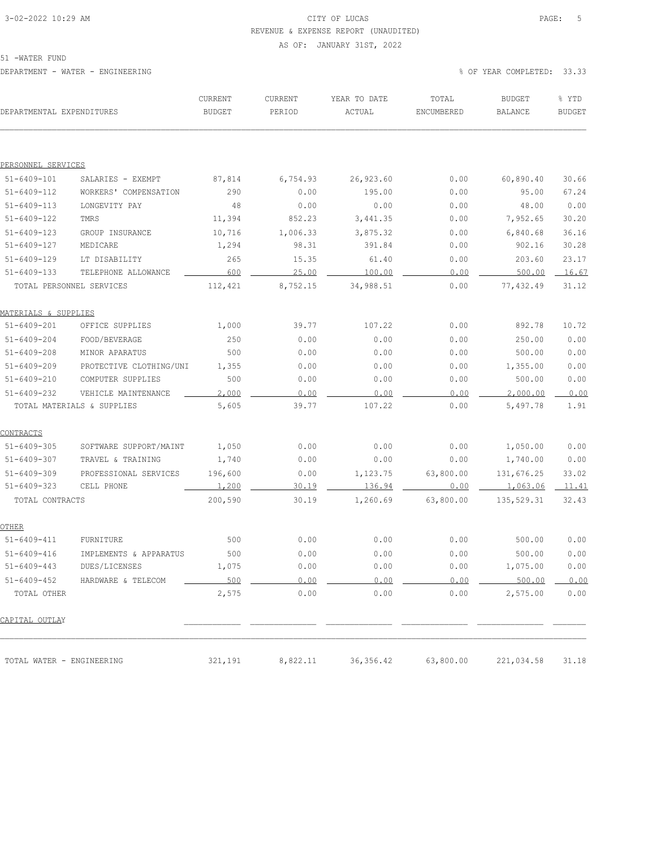# 3-02-2022 10:29 AM CITY OF LUCAS PAGE: 5 REVENUE & EXPENSE REPORT (UNAUDITED)

AS OF: JANUARY 31ST, 2022

51 -WATER FUND

| DEPARTMENTAL EXPENDITURES       |                            | CURRENT<br><b>BUDGET</b> | CURRENT<br>PERIOD | YEAR TO DATE<br>ACTUAL | TOTAL<br>ENCUMBERED | <b>BUDGET</b><br>BALANCE | % YTD<br><b>BUDGET</b> |
|---------------------------------|----------------------------|--------------------------|-------------------|------------------------|---------------------|--------------------------|------------------------|
|                                 |                            |                          |                   |                        |                     |                          |                        |
| PERSONNEL SERVICES              |                            |                          |                   |                        |                     |                          |                        |
| $51 - 6409 - 101$               | SALARIES - EXEMPT          | 87,814                   | 6,754.93          | 26,923.60              | 0.00                | 60,890.40                | 30.66                  |
| $51 - 6409 - 112$               | WORKERS' COMPENSATION      | 290                      | 0.00              | 195.00                 | 0.00                | 95.00                    | 67.24                  |
| $51 - 6409 - 113$               | LONGEVITY PAY              | 48                       | 0.00              | 0.00                   | 0.00                | 48.00                    | 0.00                   |
| $51 - 6409 - 122$               | TMRS                       | 11,394                   | 852.23            | 3, 441.35              | 0.00                | 7,952.65                 | 30.20                  |
| $51 - 6409 - 123$               | GROUP INSURANCE            | 10,716                   | 1,006.33          | 3,875.32               | 0.00                | 6,840.68                 | 36.16                  |
| $51 - 6409 - 127$               | MEDICARE                   | 1,294                    | 98.31             | 391.84                 | 0.00                | 902.16                   | 30.28                  |
| $51 - 6409 - 129$               | LT DISABILITY              | 265                      | 15.35             | 61.40                  | 0.00                | 203.60                   | 23.17                  |
| $51 - 6409 - 133$               | TELEPHONE ALLOWANCE        | 600                      | 25.00             | 100.00                 | 0.00                | 500.00                   | 16.67                  |
| TOTAL PERSONNEL SERVICES        |                            | 112,421                  | 8,752.15          | 34,988.51              | 0.00                | 77,432.49                | 31.12                  |
| <u>MATERIALS &amp; SUPPLIES</u> |                            |                          |                   |                        |                     |                          |                        |
| $51 - 6409 - 201$               | OFFICE SUPPLIES            | 1,000                    | 39.77             | 107.22                 | 0.00                | 892.78                   | 10.72                  |
| $51 - 6409 - 204$               | FOOD/BEVERAGE              | 250                      | 0.00              | 0.00                   | 0.00                | 250.00                   | 0.00                   |
| $51 - 6409 - 208$               | MINOR APARATUS             | 500                      | 0.00              | 0.00                   | 0.00                | 500.00                   | 0.00                   |
| $51 - 6409 - 209$               | PROTECTIVE CLOTHING/UNI    | 1,355                    | 0.00              | 0.00                   | 0.00                | 1,355.00                 | 0.00                   |
| $51 - 6409 - 210$               | COMPUTER SUPPLIES          | 500                      | 0.00              | 0.00                   | 0.00                | 500.00                   | 0.00                   |
| $51 - 6409 - 232$               | VEHICLE MAINTENANCE        | 2,000                    | 0.00              | 0.00                   | 0.00                | 2,000.00                 | 0.00                   |
|                                 | TOTAL MATERIALS & SUPPLIES | 5,605                    | 39.77             | 107.22                 | 0.00                | 5,497.78                 | 1.91                   |
| <u>CONTRACTS</u>                |                            |                          |                   |                        |                     |                          |                        |
| $51 - 6409 - 305$               | SOFTWARE SUPPORT/MAINT     | 1,050                    | 0.00              | 0.00                   | 0.00                | 1,050.00                 | 0.00                   |
| $51 - 6409 - 307$               | TRAVEL & TRAINING          | 1,740                    | 0.00              | 0.00                   | 0.00                | 1,740.00                 | 0.00                   |
| $51 - 6409 - 309$               | PROFESSIONAL SERVICES      | 196,600                  | 0.00              | 1,123.75               | 63,800.00           | 131,676.25               | 33.02                  |
| $51 - 6409 - 323$               | CELL PHONE                 | 1,200                    | 30.19             | 136.94                 | 0.00                | 1,063.06                 | 11.41                  |
| TOTAL CONTRACTS                 |                            | 200,590                  | 30.19             | 1,260.69               | 63,800.00           | 135,529.31               | 32.43                  |
| OTHER                           |                            |                          |                   |                        |                     |                          |                        |
| $51 - 6409 - 411$               | <b>FURNITURE</b>           | 500                      | 0.00              | 0.00                   | 0.00                | 500.00                   | 0.00                   |
| $51 - 6409 - 416$               | IMPLEMENTS & APPARATUS     | 500                      | 0.00              | 0.00                   | 0.00                | 500.00                   | 0.00                   |
| 51-6409-443                     | DUES/LICENSES              | 1,075                    | 0.00              | 0.00                   | 0.00                | 1,075.00                 | 0.00                   |
| $51 - 6409 - 452$               | HARDWARE & TELECOM         | 500                      | $0.00$ $-$        | 0.00                   | $0.00$ $\qquad$     | 500.00                   | 0.00                   |
| TOTAL OTHER                     |                            | 2,575                    | 0.00              | 0.00                   | 0.00                | 2,575.00                 | 0.00                   |
| CAPITAL OUTLAY                  |                            |                          |                   |                        |                     |                          |                        |
| TOTAL WATER - ENGINEERING       |                            | 321,191                  | 8,822.11          | 36, 356.42             | 63,800.00           | 221,034.58               | 31.18                  |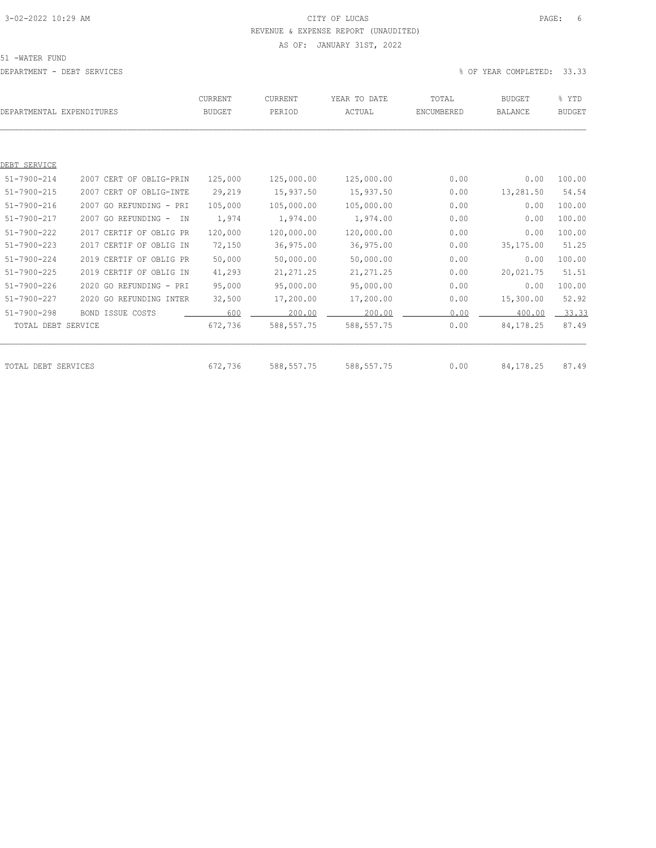# 3-02-2022 10:29 AM CITY OF LUCAS PAGE: 6 REVENUE & EXPENSE REPORT (UNAUDITED)

#### AS OF: JANUARY 31ST, 2022

51 -WATER FUND

|                     | DEPARTMENTAL EXPENDITURES | CURRENT<br><b>BUDGET</b> | CURRENT<br>PERIOD | YEAR TO DATE<br>ACTUAL | TOTAL<br>ENCUMBERED | <b>BUDGET</b><br><b>BALANCE</b> | % YTD<br><b>BUDGET</b> |
|---------------------|---------------------------|--------------------------|-------------------|------------------------|---------------------|---------------------------------|------------------------|
|                     |                           |                          |                   |                        |                     |                                 |                        |
| DEBT SERVICE        |                           |                          |                   |                        |                     |                                 |                        |
| $51 - 7900 - 214$   | 2007 CERT OF OBLIG-PRIN   | 125,000                  | 125,000.00        | 125,000.00             | 0.00                | 0.00                            | 100.00                 |
| $51 - 7900 - 215$   | 2007 CERT OF OBLIG-INTE   | 29,219                   | 15,937.50         | 15,937.50              | 0.00                | 13,281.50                       | 54.54                  |
| $51 - 7900 - 216$   | 2007 GO REFUNDING - PRI   | 105,000                  | 105,000.00        | 105,000.00             | 0.00                | 0.00                            | 100.00                 |
| 51-7900-217         | 2007 GO REFUNDING -<br>TN | 1,974                    | 1,974.00          | 1,974.00               | 0.00                | 0.00                            | 100.00                 |
| $51 - 7900 - 222$   | 2017 CERTIF OF OBLIG PR   | 120,000                  | 120,000.00        | 120,000.00             | 0.00                | 0.00                            | 100.00                 |
| $51 - 7900 - 223$   | 2017 CERTIF OF OBLIG IN   | 72,150                   | 36,975.00         | 36,975.00              | 0.00                | 35,175.00                       | 51.25                  |
| $51 - 7900 - 224$   | 2019 CERTIF OF OBLIG PR   | 50,000                   | 50,000.00         | 50,000.00              | 0.00                | 0.00                            | 100.00                 |
| $51 - 7900 - 225$   | 2019 CERTIF OF OBLIG IN   | 41,293                   | 21, 271.25        | 21, 271.25             | 0.00                | 20,021.75                       | 51.51                  |
| $51 - 7900 - 226$   | 2020 GO REFUNDING - PRI   | 95,000                   | 95,000.00         | 95,000.00              | 0.00                | 0.00                            | 100.00                 |
| $51 - 7900 - 227$   | 2020 GO REFUNDING INTER   | 32,500                   | 17,200.00         | 17,200.00              | 0.00                | 15,300.00                       | 52.92                  |
| $51 - 7900 - 298$   | <b>BOND ISSUE COSTS</b>   | 600                      | 200.00            | 200.00                 | 0.00                | 400.00                          | 33.33                  |
| TOTAL DEBT SERVICE  |                           | 672,736                  | 588, 557.75       | 588, 557.75            | 0.00                | 84, 178. 25                     | 87.49                  |
|                     |                           |                          |                   |                        |                     |                                 |                        |
| TOTAL DEBT SERVICES |                           | 672,736                  | 588, 557.75       | 588, 557.75            | 0.00                | 84,178.25                       | 87.49                  |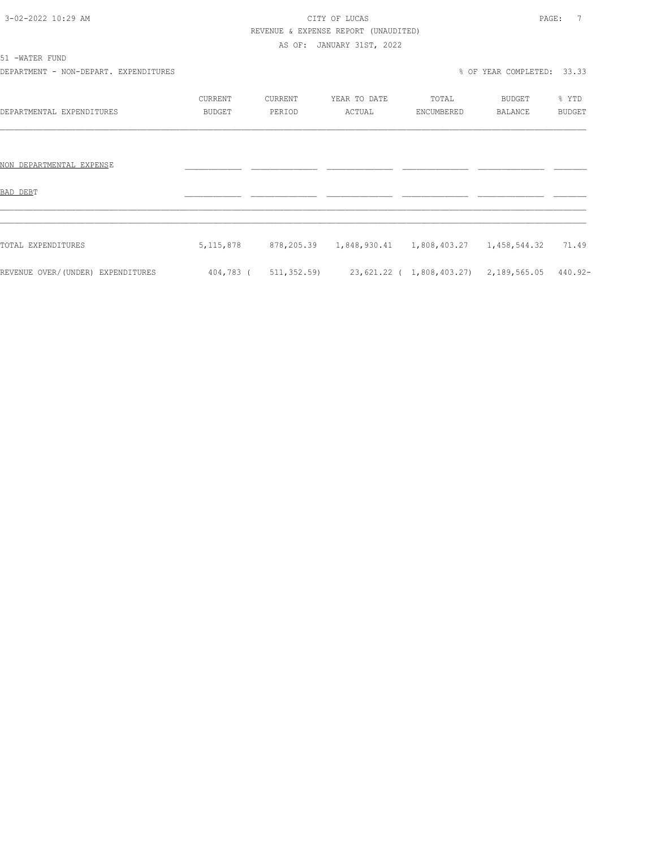# 3-02-2022 10:29 AM CITY OF LUCAS PAGE: 7 REVENUE & EXPENSE REPORT (UNAUDITED)

AS OF: JANUARY 31ST, 2022

51 -WATER FUND

DEPARTMENT - NON-DEPART. EXPENDITURES **X** and the set of the set of the set of the set of the set of the set of the set of the set of the set of the set of the set of the set of the set of the set of the set of the set of

|                                   | <b>CURRENT</b> | CURRENT     | YEAR TO DATE            | TOTAL                                  | <b>BUDGET</b>  | % YTD         |
|-----------------------------------|----------------|-------------|-------------------------|----------------------------------------|----------------|---------------|
| DEPARTMENTAL EXPENDITURES         | <b>BUDGET</b>  | PERIOD      | ACTUAL                  | ENCUMBERED                             | <b>BALANCE</b> | <b>BUDGET</b> |
|                                   |                |             |                         |                                        |                |               |
|                                   |                |             |                         |                                        |                |               |
| NON DEPARTMENTAL EXPENSE          |                |             |                         |                                        |                |               |
|                                   |                |             |                         |                                        |                |               |
| BAD DEBT                          |                |             |                         |                                        |                |               |
|                                   |                |             |                         |                                        |                |               |
|                                   |                |             |                         |                                        |                |               |
| TOTAL EXPENDITURES                | 5, 115, 878    |             | 878,205.39 1,848,930.41 | 1,808,403.27  1,458,544.32  71.49      |                |               |
|                                   |                |             |                         |                                        |                |               |
| REVENUE OVER/(UNDER) EXPENDITURES | 404,783 (      | 511,352.59) |                         | 23,621.22 ( 1,808,403.27) 2,189,565.05 |                | 440.92-       |
|                                   |                |             |                         |                                        |                |               |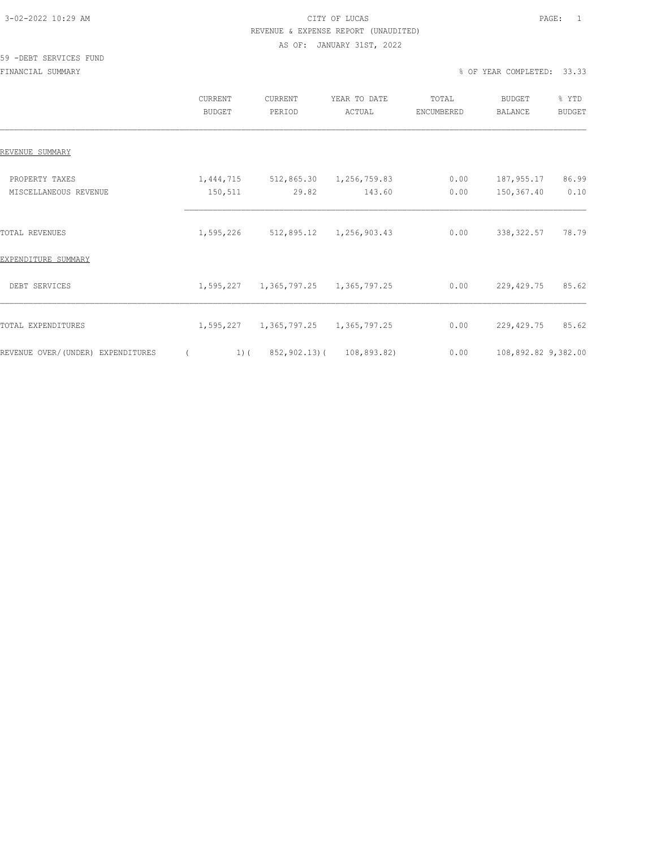### 3-02-2022 10:29 AM CITY OF LUCAS PAGE: 1 REVENUE & EXPENSE REPORT (UNAUDITED) AS OF: JANUARY 31ST, 2022

#### 59 -DEBT SERVICES FUND

FINANCIAL SUMMARY % OF YEAR COMPLETED: 33.33

|                                         | CURRENT<br><b>BUDGET</b> | CURRENT<br>PERIOD                   | YEAR TO DATE<br>ACTUAL  | TOTAL<br>ENCUMBERED | <b>BUDGET</b><br><b>BALANCE</b> | % YTD<br><b>BUDGET</b> |
|-----------------------------------------|--------------------------|-------------------------------------|-------------------------|---------------------|---------------------------------|------------------------|
| REVENUE SUMMARY                         |                          |                                     |                         |                     |                                 |                        |
| PROPERTY TAXES<br>MISCELLANEOUS REVENUE | 1,444,715<br>150,511     | 512,865.30<br>29.82                 | 1,256,759.83<br>143.60  | 0.00<br>0.00        | 187,955.17<br>150,367.40        | 86.99<br>0.10          |
| TOTAL REVENUES                          | 1,595,226                | 512,895.12                          | 1,256,903.43            | 0.00                | 338, 322.57                     | 78.79                  |
| EXPENDITURE SUMMARY<br>DEBT SERVICES    |                          | 1,595,227 1,365,797.25 1,365,797.25 |                         | 0.00                | 229,429.75                      | 85.62                  |
| TOTAL EXPENDITURES                      |                          | 1,595,227 1,365,797.25              | 1,365,797.25            | 0.00                | 229,429.75                      | 85.62                  |
| REVENUE OVER/(UNDER) EXPENDITURES       | $1)$ (                   |                                     | 852,902.13)(108,893.82) | 0.00                | 108,892.82 9,382.00             |                        |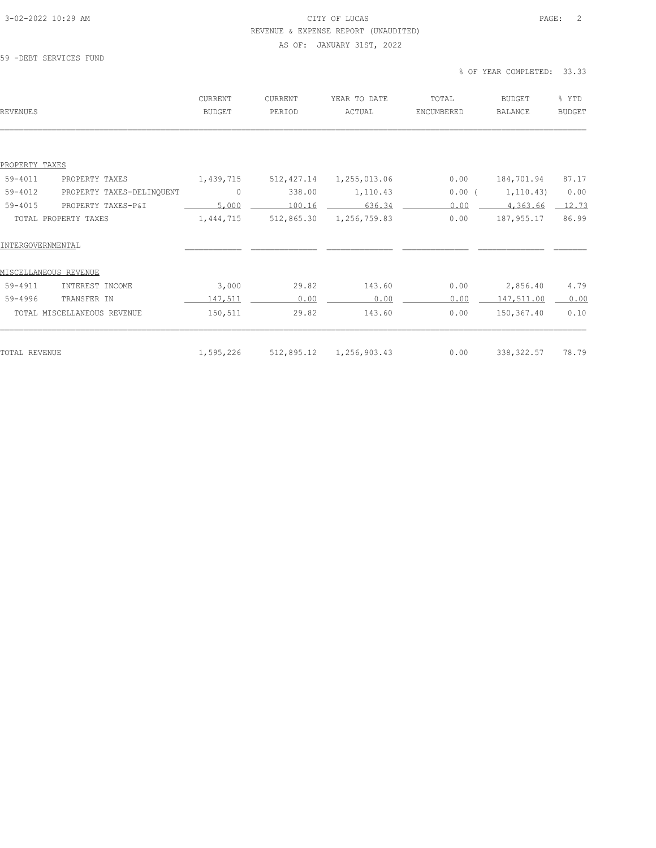### 3-02-2022 10:29 AM CITY OF LUCAS PAGE: 2 REVENUE & EXPENSE REPORT (UNAUDITED) AS OF: JANUARY 31ST, 2022

#### 59 -DEBT SERVICES FUND

% OF YEAR COMPLETED: 33.33

| REVENUES                                 | CURRENT<br><b>BUDGET</b> | CURRENT<br>PERIOD | YEAR TO DATE<br>ACTUAL | TOTAL<br>ENCUMBERED | <b>BUDGET</b><br><b>BALANCE</b> | % YTD<br><b>BUDGET</b> |
|------------------------------------------|--------------------------|-------------------|------------------------|---------------------|---------------------------------|------------------------|
|                                          |                          |                   |                        |                     |                                 |                        |
| PROPERTY TAXES                           |                          |                   |                        |                     |                                 |                        |
| $59 - 4011$<br>PROPERTY TAXES            | 1,439,715                | 512, 427.14       | 1,255,013.06           | 0.00                | 184,701.94                      | 87.17                  |
| $59 - 4012$<br>PROPERTY TAXES-DELINQUENT | $\mathbf{0}$             | 338.00            | 1,110.43               | 0.00(               | 1, 110.43)                      | 0.00                   |
| $59 - 4015$<br>PROPERTY TAXES-P&I        | 5,000                    | 100.16            | 636.34                 | 0.00                | 4,363.66                        | 12.73                  |
| TOTAL PROPERTY TAXES                     | 1,444,715                | 512,865.30        | 1,256,759.83           | 0.00                | 187,955.17                      | 86.99                  |
| INTERGOVERNMENTAL                        |                          |                   |                        |                     |                                 |                        |
| MISCELLANEOUS REVENUE                    |                          |                   |                        |                     |                                 |                        |
| 59-4911<br>INTEREST INCOME               | 3,000                    | 29.82             | 143.60                 | 0.00                | 2,856.40                        | 4.79                   |
| $59 - 4996$<br>TRANSFER IN               | 147,511                  | 0.00              | 0.00                   | 0.00                | 147,511.00                      | 0.00                   |
| TOTAL MISCELLANEOUS REVENUE              | 150,511                  | 29.82             | 143.60                 | 0.00                | 150,367.40                      | 0.10                   |
| TOTAL REVENUE                            | 1,595,226                | 512,895.12        | 1,256,903.43           | 0.00                | 338, 322.57                     | 78.79                  |
|                                          |                          |                   |                        |                     |                                 |                        |